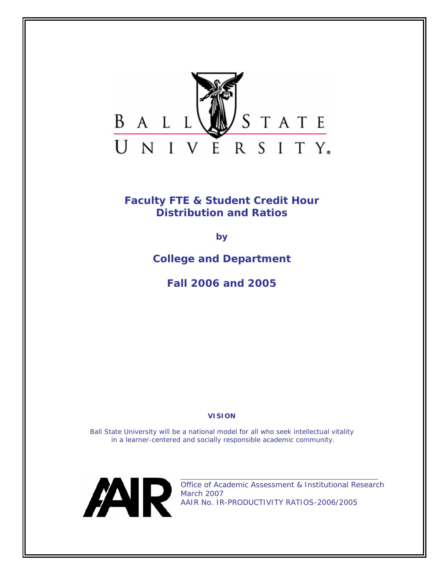

**Faculty FTE & Student Credit Hour Distribution and Ratios** 

*by* 

**College and Department** 

*Fall 2006 and 2005* 

*VISION* 

*Ball State University will be a national model for all who seek intellectual vitality in a learner-centered and socially responsible academic community.* 



Office of Academic Assessment & Institutional Research March 2007 AAIR No. IR-PRODUCTIVITY RATIOS-2006/2005

**\_\_\_\_\_\_\_\_\_\_\_\_\_\_\_\_\_\_\_\_\_\_\_\_\_\_\_\_\_\_\_\_\_\_\_\_\_\_\_\_\_\_\_\_\_\_\_\_\_\_\_\_\_\_\_\_\_\_\_\_\_\_\_\_\_\_\_\_**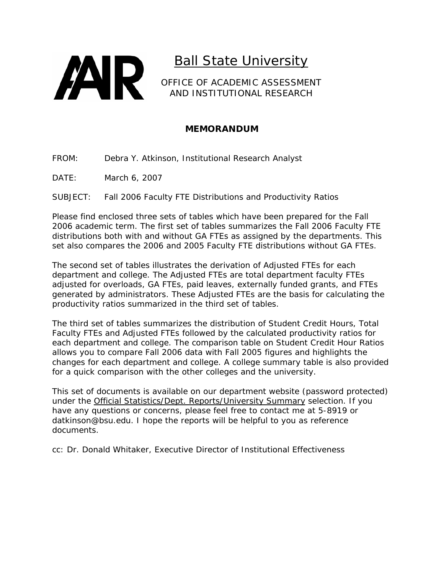

OFFICE OF ACADEMIC ASSESSMENT AND INSTITUTIONAL RESEARCH

# **MEMORANDUM**

- FROM: Debra Y. Atkinson, Institutional Research Analyst
- DATE: March 6, 2007

SUBJECT: Fall 2006 Faculty FTE Distributions and Productivity Ratios

Please find enclosed three sets of tables which have been prepared for the Fall 2006 academic term. The first set of tables summarizes the Fall 2006 *Faculty FTE distributions* both with and without GA FTEs as assigned by the departments. This set also compares the 2006 and 2005 *Faculty FTE distributions* without GA FTEs.

The second set of tables illustrates the derivation of *Adjusted FTEs* for each department and college. The *Adjusted FTEs* are total department faculty FTEs adjusted for overloads, GA FTEs, paid leaves, externally funded grants, and FTEs generated by administrators. These *Adjusted FTEs* are the basis for calculating the productivity ratios summarized in the third set of tables.

The third set of tables summarizes the distribution of *Student Credit Hours*, *Total Faculty FTEs* and *Adjusted FTEs* followed by the calculated productivity ratios for each department and college. The comparison table on *Student Credit Hour Ratios*  allows you to compare Fall 2006 data with Fall 2005 figures and highlights the changes for each department and college. A college summary table is also provided for a quick comparison with the other colleges and the university.

This set of documents is available on our department website (password protected) under the *Official Statistics/Dept. Reports/University Summary* selection. If you have any questions or concerns, please feel free to contact me at 5-8919 or datkinson@bsu.edu. I hope the reports will be helpful to you as reference documents.

cc: Dr. Donald Whitaker, Executive Director of Institutional Effectiveness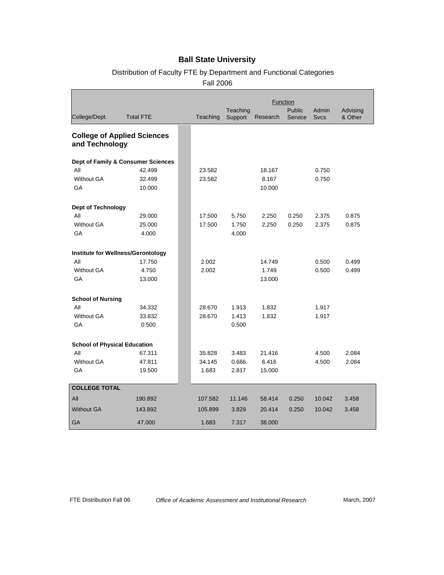# Distribution of Faculty FTE by Department and Functional Categories

Fall 2006

|                                           |                                    | <b>Function</b> |                     |          |                   |                      |                     |
|-------------------------------------------|------------------------------------|-----------------|---------------------|----------|-------------------|----------------------|---------------------|
| College/Dept.                             | <b>Total FTE</b>                   | Teaching        | Teaching<br>Support | Research | Public<br>Service | Admin<br><b>Svcs</b> | Advising<br>& Other |
| and Technology                            | <b>College of Applied Sciences</b> |                 |                     |          |                   |                      |                     |
|                                           | Dept of Family & Consumer Sciences |                 |                     |          |                   |                      |                     |
| All                                       | 42.499                             | 23.582          |                     | 18.167   |                   | 0.750                |                     |
| <b>Without GA</b>                         | 32.499                             | 23.582          |                     | 8.167    |                   | 0.750                |                     |
| GA                                        | 10.000                             |                 |                     | 10.000   |                   |                      |                     |
| Dept of Technology                        |                                    |                 |                     |          |                   |                      |                     |
| All                                       | 29.000                             | 17.500          | 5.750               | 2.250    | 0.250             | 2.375                | 0.875               |
| <b>Without GA</b>                         | 25.000                             | 17.500          | 1.750               | 2.250    | 0.250             | 2.375                | 0.875               |
| GA                                        | 4.000                              |                 | 4.000               |          |                   |                      |                     |
| <b>Institute for Wellness/Gerontology</b> |                                    |                 |                     |          |                   |                      |                     |
| All                                       | 17.750                             | 2.002           |                     | 14.749   |                   | 0.500                | 0.499               |
| <b>Without GA</b>                         | 4.750                              | 2.002           |                     | 1.749    |                   | 0.500                | 0.499               |
| GA                                        | 13.000                             |                 |                     | 13.000   |                   |                      |                     |
| <b>School of Nursing</b>                  |                                    |                 |                     |          |                   |                      |                     |
| All                                       | 34.332                             | 28.670          | 1.913               | 1.832    |                   | 1.917                |                     |
| <b>Without GA</b>                         | 33.832                             | 28.670          | 1.413               | 1.832    |                   | 1.917                |                     |
| GA                                        | 0.500                              |                 | 0.500               |          |                   |                      |                     |
| <b>School of Physical Education</b>       |                                    |                 |                     |          |                   |                      |                     |
| All                                       | 67.311                             | 35.828          | 3.483               | 21.416   |                   | 4.500                | 2.084               |
| <b>Without GA</b>                         | 47.811                             | 34.145          | 0.666               | 6.416    |                   | 4.500                | 2.084               |
| GA                                        | 19.500                             | 1.683           | 2.817               | 15.000   |                   |                      |                     |
| <b>COLLEGE TOTAL</b>                      |                                    |                 |                     |          |                   |                      |                     |
| All                                       | 190.892                            | 107.582         | 11.146              | 58.414   | 0.250             | 10.042               | 3.458               |
| <b>Without GA</b>                         | 143.892                            | 105.899         | 3.829               | 20.414   | 0.250             | 10.042               | 3.458               |
| GA                                        | 47.000                             | 1.683           | 7.317               | 38.000   |                   |                      |                     |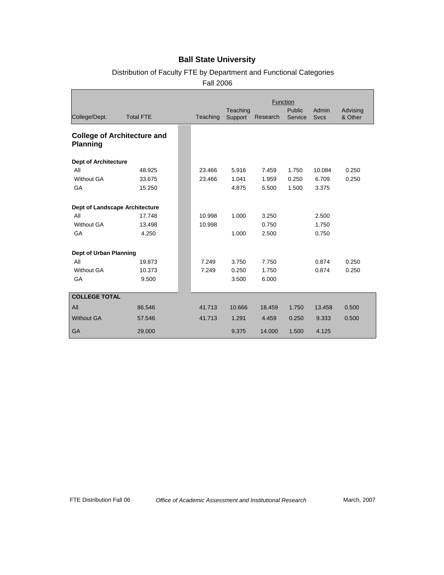# Distribution of Faculty FTE by Department and Functional Categories

Fall 2006

|                                |                                    | Function |                     |          |                   |                      |                     |
|--------------------------------|------------------------------------|----------|---------------------|----------|-------------------|----------------------|---------------------|
| College/Dept.                  | <b>Total FTE</b>                   | Teaching | Teaching<br>Support | Research | Public<br>Service | Admin<br><b>Svcs</b> | Advising<br>& Other |
| <b>Planning</b>                | <b>College of Architecture and</b> |          |                     |          |                   |                      |                     |
| <b>Dept of Architecture</b>    |                                    |          |                     |          |                   |                      |                     |
| All                            | 48.925                             | 23.466   | 5.916               | 7.459    | 1.750             | 10.084               | 0.250               |
| <b>Without GA</b>              | 33.675                             | 23.466   | 1.041               | 1.959    | 0.250             | 6.709                | 0.250               |
| GA                             | 15.250                             |          | 4.875               | 5.500    | 1.500             | 3.375                |                     |
| Dept of Landscape Architecture |                                    |          |                     |          |                   |                      |                     |
| All                            | 17.748                             | 10.998   | 1.000               | 3.250    |                   | 2.500                |                     |
| <b>Without GA</b>              | 13.498                             | 10.998   |                     | 0.750    |                   | 1.750                |                     |
| GA                             | 4.250                              |          | 1.000               | 2.500    |                   | 0.750                |                     |
| Dept of Urban Planning         |                                    |          |                     |          |                   |                      |                     |
| All                            | 19.873                             | 7.249    | 3.750               | 7.750    |                   | 0.874                | 0.250               |
| <b>Without GA</b>              | 10.373                             | 7.249    | 0.250               | 1.750    |                   | 0.874                | 0.250               |
| GA                             | 9.500                              |          | 3.500               | 6.000    |                   |                      |                     |
| <b>COLLEGE TOTAL</b>           |                                    |          |                     |          |                   |                      |                     |
| All                            | 86.546                             | 41.713   | 10.666              | 18.459   | 1.750             | 13.458               | 0.500               |
| <b>Without GA</b>              | 57.546                             | 41.713   | 1.291               | 4.459    | 0.250             | 9.333                | 0.500               |
| <b>GA</b>                      | 29.000                             |          | 9.375               | 14.000   | 1.500             | 4.125                |                     |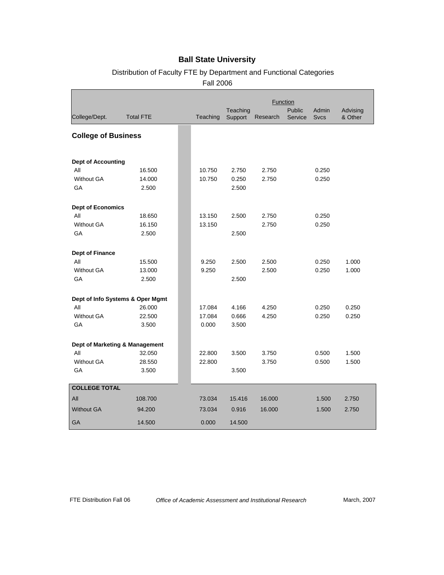# Distribution of Faculty FTE by Department and Functional Categories

Fall 2006

|                                  |                  | Function |                     |          |                   |                             |                     |
|----------------------------------|------------------|----------|---------------------|----------|-------------------|-----------------------------|---------------------|
| College/Dept.                    | <b>Total FTE</b> | Teaching | Teaching<br>Support | Research | Public<br>Service | <b>Admin</b><br><b>Sycs</b> | Advising<br>& Other |
| <b>College of Business</b>       |                  |          |                     |          |                   |                             |                     |
| <b>Dept of Accounting</b>        |                  |          |                     |          |                   |                             |                     |
| All                              | 16.500           | 10.750   | 2.750               | 2.750    |                   | 0.250                       |                     |
| <b>Without GA</b>                | 14.000           | 10.750   | 0.250               | 2.750    |                   | 0.250                       |                     |
| GA                               | 2.500            |          | 2.500               |          |                   |                             |                     |
| <b>Dept of Economics</b>         |                  |          |                     |          |                   |                             |                     |
| All                              | 18.650           | 13.150   | 2.500               | 2.750    |                   | 0.250                       |                     |
| <b>Without GA</b>                | 16.150           | 13.150   |                     | 2.750    |                   | 0.250                       |                     |
| GA                               | 2.500            |          | 2.500               |          |                   |                             |                     |
| <b>Dept of Finance</b>           |                  |          |                     |          |                   |                             |                     |
| All                              | 15.500           | 9.250    | 2.500               | 2.500    |                   | 0.250                       | 1.000               |
| <b>Without GA</b>                | 13.000           | 9.250    |                     | 2.500    |                   | 0.250                       | 1.000               |
| GA                               | 2.500            |          | 2.500               |          |                   |                             |                     |
| Dept of Info Systems & Oper Mgmt |                  |          |                     |          |                   |                             |                     |
| All                              | 26.000           | 17.084   | 4.166               | 4.250    |                   | 0.250                       | 0.250               |
| <b>Without GA</b>                | 22.500           | 17.084   | 0.666               | 4.250    |                   | 0.250                       | 0.250               |
| GA                               | 3.500            | 0.000    | 3.500               |          |                   |                             |                     |
| Dept of Marketing & Management   |                  |          |                     |          |                   |                             |                     |
| All                              | 32.050           | 22.800   | 3.500               | 3.750    |                   | 0.500                       | 1.500               |
| <b>Without GA</b>                | 28.550           | 22.800   |                     | 3.750    |                   | 0.500                       | 1.500               |
| GA                               | 3.500            |          | 3.500               |          |                   |                             |                     |
| <b>COLLEGE TOTAL</b>             |                  |          |                     |          |                   |                             |                     |
| All                              | 108.700          | 73.034   | 15.416              | 16.000   |                   | 1.500                       | 2.750               |
| <b>Without GA</b>                | 94.200           | 73.034   | 0.916               | 16.000   |                   | 1.500                       | 2.750               |
| <b>GA</b>                        | 14.500           | 0.000    | 14.500              |          |                   |                             |                     |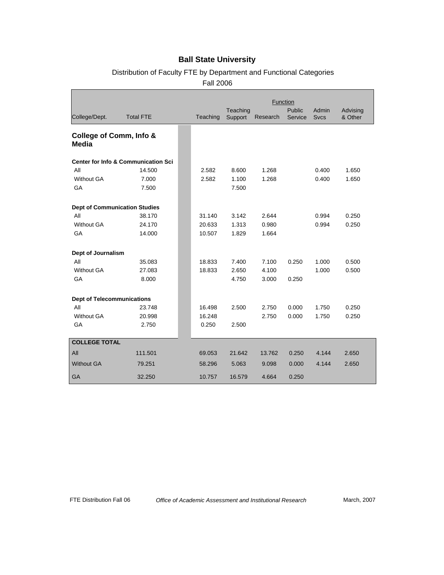# Distribution of Faculty FTE by Department and Functional Categories

Fall 2006

|                                      |                                                |          |                     | Function |                          |                      |                     |
|--------------------------------------|------------------------------------------------|----------|---------------------|----------|--------------------------|----------------------|---------------------|
| College/Dept.                        | <b>Total FTE</b>                               | Teaching | Teaching<br>Support | Research | <b>Public</b><br>Service | Admin<br><b>Svcs</b> | Advising<br>& Other |
| College of Comm, Info &<br>Media     |                                                |          |                     |          |                          |                      |                     |
|                                      | <b>Center for Info &amp; Communication Sci</b> |          |                     |          |                          |                      |                     |
| All                                  | 14.500                                         | 2.582    | 8.600               | 1.268    |                          | 0.400                | 1.650               |
| <b>Without GA</b>                    | 7.000                                          | 2.582    | 1.100               | 1.268    |                          | 0.400                | 1.650               |
| GA                                   | 7.500                                          |          | 7.500               |          |                          |                      |                     |
| <b>Dept of Communication Studies</b> |                                                |          |                     |          |                          |                      |                     |
| All                                  | 38.170                                         | 31.140   | 3.142               | 2.644    |                          | 0.994                | 0.250               |
| <b>Without GA</b>                    | 24.170                                         | 20.633   | 1.313               | 0.980    |                          | 0.994                | 0.250               |
| GA                                   | 14.000                                         | 10.507   | 1.829               | 1.664    |                          |                      |                     |
| Dept of Journalism                   |                                                |          |                     |          |                          |                      |                     |
| All                                  | 35.083                                         | 18.833   | 7.400               | 7.100    | 0.250                    | 1.000                | 0.500               |
| <b>Without GA</b>                    | 27.083                                         | 18.833   | 2.650               | 4.100    |                          | 1.000                | 0.500               |
| GA                                   | 8.000                                          |          | 4.750               | 3.000    | 0.250                    |                      |                     |
| <b>Dept of Telecommunications</b>    |                                                |          |                     |          |                          |                      |                     |
| All                                  | 23.748                                         | 16.498   | 2.500               | 2.750    | 0.000                    | 1.750                | 0.250               |
| <b>Without GA</b>                    | 20.998                                         | 16.248   |                     | 2.750    | 0.000                    | 1.750                | 0.250               |
| GA                                   | 2.750                                          | 0.250    | 2.500               |          |                          |                      |                     |
| <b>COLLEGE TOTAL</b>                 |                                                |          |                     |          |                          |                      |                     |
| All                                  | 111.501                                        | 69.053   | 21.642              | 13.762   | 0.250                    | 4.144                | 2.650               |
| <b>Without GA</b>                    | 79.251                                         | 58.296   | 5.063               | 9.098    | 0.000                    | 4.144                | 2.650               |
| GA                                   | 32.250                                         | 10.757   | 16.579              | 4.664    | 0.250                    |                      |                     |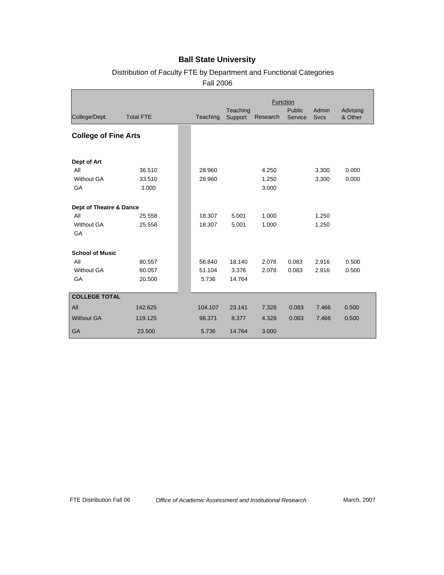# Distribution of Faculty FTE by Department and Functional Categories

Fall 2006

|                             |                  | Function |                     |          |                   |                      |                     |
|-----------------------------|------------------|----------|---------------------|----------|-------------------|----------------------|---------------------|
| College/Dept.               | <b>Total FTE</b> | Teaching | Teaching<br>Support | Research | Public<br>Service | Admin<br><b>Svcs</b> | Advising<br>& Other |
| <b>College of Fine Arts</b> |                  |          |                     |          |                   |                      |                     |
| Dept of Art                 |                  |          |                     |          |                   |                      |                     |
| All                         | 36.510           | 28.960   |                     | 4.250    |                   | 3.300                | 0.000               |
| <b>Without GA</b>           | 33.510           | 28.960   |                     | 1.250    |                   | 3.300                | 0.000               |
| GA                          | 3.000            |          |                     | 3.000    |                   |                      |                     |
| Dept of Theatre & Dance     |                  |          |                     |          |                   |                      |                     |
| All                         | 25.558           | 18.307   | 5.001               | 1.000    |                   | 1.250                |                     |
| <b>Without GA</b><br>GA     | 25.558           | 18.307   | 5.001               | 1.000    |                   | 1.250                |                     |
| <b>School of Music</b>      |                  |          |                     |          |                   |                      |                     |
| All                         | 80.557           | 56.840   | 18.140              | 2.078    | 0.083             | 2.916                | 0.500               |
| <b>Without GA</b>           | 60.057           | 51.104   | 3.376               | 2.078    | 0.083             | 2.916                | 0.500               |
| GA                          | 20.500           | 5.736    | 14.764              |          |                   |                      |                     |
| <b>COLLEGE TOTAL</b>        |                  |          |                     |          |                   |                      |                     |
| All                         | 142.625          | 104.107  | 23.141              | 7.328    | 0.083             | 7.466                | 0.500               |
| <b>Without GA</b>           | 119.125          | 98.371   | 8.377               | 4.328    | 0.083             | 7.466                | 0.500               |
| GA                          | 23.500           | 5.736    | 14.764              | 3.000    |                   |                      |                     |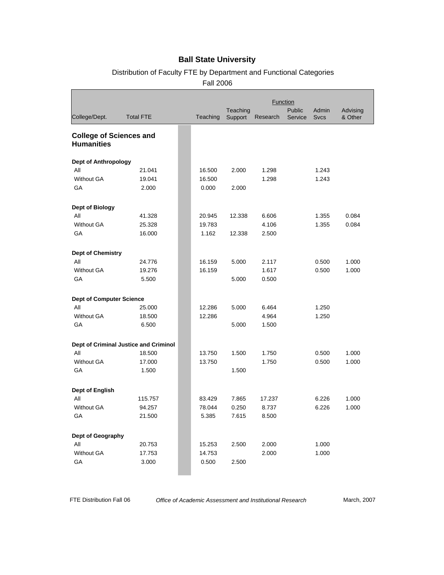# Distribution of Faculty FTE by Department and Functional Categories

Fall 2006

|                                                     |                                       |          |                     |          | <b>Function</b>   |                      |                     |
|-----------------------------------------------------|---------------------------------------|----------|---------------------|----------|-------------------|----------------------|---------------------|
| College/Dept.                                       | <b>Total FTE</b>                      | Teaching | Teaching<br>Support | Research | Public<br>Service | Admin<br><b>Sycs</b> | Advising<br>& Other |
| <b>College of Sciences and</b><br><b>Humanities</b> |                                       |          |                     |          |                   |                      |                     |
| <b>Dept of Anthropology</b>                         |                                       |          |                     |          |                   |                      |                     |
| All                                                 | 21.041                                | 16.500   | 2.000               | 1.298    |                   | 1.243                |                     |
| <b>Without GA</b>                                   | 19.041                                | 16.500   |                     | 1.298    |                   | 1.243                |                     |
| GA                                                  | 2.000                                 | 0.000    | 2.000               |          |                   |                      |                     |
| <b>Dept of Biology</b>                              |                                       |          |                     |          |                   |                      |                     |
| All                                                 | 41.328                                | 20.945   | 12.338              | 6.606    |                   | 1.355                | 0.084               |
| <b>Without GA</b>                                   | 25.328                                | 19.783   |                     | 4.106    |                   | 1.355                | 0.084               |
| GA                                                  | 16.000                                | 1.162    | 12.338              | 2.500    |                   |                      |                     |
| <b>Dept of Chemistry</b>                            |                                       |          |                     |          |                   |                      |                     |
| All                                                 | 24.776                                | 16.159   | 5.000               | 2.117    |                   | 0.500                | 1.000               |
| <b>Without GA</b>                                   | 19.276                                | 16.159   |                     | 1.617    |                   | 0.500                | 1.000               |
| GA                                                  | 5.500                                 |          | 5.000               | 0.500    |                   |                      |                     |
| <b>Dept of Computer Science</b>                     |                                       |          |                     |          |                   |                      |                     |
| All                                                 | 25.000                                | 12.286   | 5.000               | 6.464    |                   | 1.250                |                     |
| Without GA                                          | 18.500                                | 12.286   |                     | 4.964    |                   | 1.250                |                     |
| GA                                                  | 6.500                                 |          | 5.000               | 1.500    |                   |                      |                     |
|                                                     | Dept of Criminal Justice and Criminol |          |                     |          |                   |                      |                     |
| All                                                 | 18.500                                | 13.750   | 1.500               | 1.750    |                   | 0.500                | 1.000               |
| <b>Without GA</b>                                   | 17.000                                | 13.750   |                     | 1.750    |                   | 0.500                | 1.000               |
| GA                                                  | 1.500                                 |          | 1.500               |          |                   |                      |                     |
| <b>Dept of English</b>                              |                                       |          |                     |          |                   |                      |                     |
| All                                                 | 115.757                               | 83.429   | 7.865               | 17.237   |                   | 6.226                | 1.000               |
| <b>Without GA</b>                                   | 94.257                                | 78.044   | 0.250               | 8.737    |                   | 6.226                | 1.000               |
| GA                                                  | 21.500                                | 5.385    | 7.615               | 8.500    |                   |                      |                     |
| Dept of Geography                                   |                                       |          |                     |          |                   |                      |                     |
| All                                                 | 20.753                                | 15.253   | 2.500               | 2.000    |                   | 1.000                |                     |
| <b>Without GA</b>                                   | 17.753                                | 14.753   |                     | 2.000    |                   | 1.000                |                     |
| GA                                                  | 3.000                                 | 0.500    | 2.500               |          |                   |                      |                     |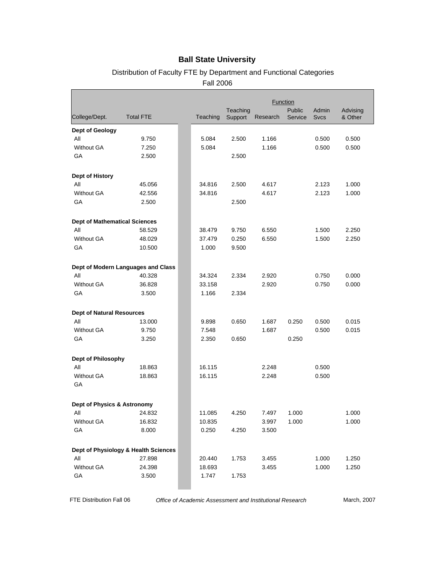# Distribution of Faculty FTE by Department and Functional Categories

Fall 2006

|                                      |                                      | <b>Function</b><br>Teaching<br>Public<br>Admin<br>Advising |         |          |         |             |         |
|--------------------------------------|--------------------------------------|------------------------------------------------------------|---------|----------|---------|-------------|---------|
| College/Dept.                        | <b>Total FTE</b>                     | Teaching                                                   | Support | Research | Service | <b>Svcs</b> | & Other |
| Dept of Geology                      |                                      |                                                            |         |          |         |             |         |
| All                                  | 9.750                                | 5.084                                                      | 2.500   | 1.166    |         | 0.500       | 0.500   |
| <b>Without GA</b>                    | 7.250                                | 5.084                                                      |         | 1.166    |         | 0.500       | 0.500   |
| GA                                   | 2.500                                |                                                            | 2.500   |          |         |             |         |
| Dept of History                      |                                      |                                                            |         |          |         |             |         |
| All                                  | 45.056                               | 34.816                                                     | 2.500   | 4.617    |         | 2.123       | 1.000   |
| <b>Without GA</b>                    | 42.556                               | 34.816                                                     |         | 4.617    |         | 2.123       | 1.000   |
| GA                                   | 2.500                                |                                                            | 2.500   |          |         |             |         |
| <b>Dept of Mathematical Sciences</b> |                                      |                                                            |         |          |         |             |         |
| All                                  | 58.529                               | 38.479                                                     | 9.750   | 6.550    |         | 1.500       | 2.250   |
| <b>Without GA</b>                    | 48.029                               | 37.479                                                     | 0.250   | 6.550    |         | 1.500       | 2.250   |
| GA                                   | 10.500                               | 1.000                                                      | 9.500   |          |         |             |         |
|                                      | Dept of Modern Languages and Class   |                                                            |         |          |         |             |         |
| All                                  | 40.328                               | 34.324                                                     | 2.334   | 2.920    |         | 0.750       | 0.000   |
| <b>Without GA</b>                    | 36.828                               | 33.158                                                     |         | 2.920    |         | 0.750       | 0.000   |
| GA                                   | 3.500                                | 1.166                                                      | 2.334   |          |         |             |         |
| <b>Dept of Natural Resources</b>     |                                      |                                                            |         |          |         |             |         |
| All                                  | 13.000                               | 9.898                                                      | 0.650   | 1.687    | 0.250   | 0.500       | 0.015   |
| <b>Without GA</b>                    | 9.750                                | 7.548                                                      |         | 1.687    |         | 0.500       | 0.015   |
| GA                                   | 3.250                                | 2.350                                                      | 0.650   |          | 0.250   |             |         |
| <b>Dept of Philosophy</b>            |                                      |                                                            |         |          |         |             |         |
| All                                  | 18.863                               | 16.115                                                     |         | 2.248    |         | 0.500       |         |
| <b>Without GA</b><br>GA              | 18.863                               | 16.115                                                     |         | 2.248    |         | 0.500       |         |
| Dept of Physics & Astronomy          |                                      |                                                            |         |          |         |             |         |
| All                                  | 24.832                               | 11.085                                                     | 4.250   | 7.497    | 1.000   |             | 1.000   |
| Without GA                           | 16.832                               | 10.835                                                     |         | 3.997    | 1.000   |             | 1.000   |
| GA                                   | 8.000                                | 0.250                                                      | 4.250   | 3.500    |         |             |         |
|                                      | Dept of Physiology & Health Sciences |                                                            |         |          |         |             |         |
| All                                  | 27.898                               | 20.440                                                     | 1.753   | 3.455    |         | 1.000       | 1.250   |
| Without GA                           | 24.398                               | 18.693                                                     |         | 3.455    |         | 1.000       | 1.250   |
| GA                                   | 3.500                                | 1.747                                                      | 1.753   |          |         |             |         |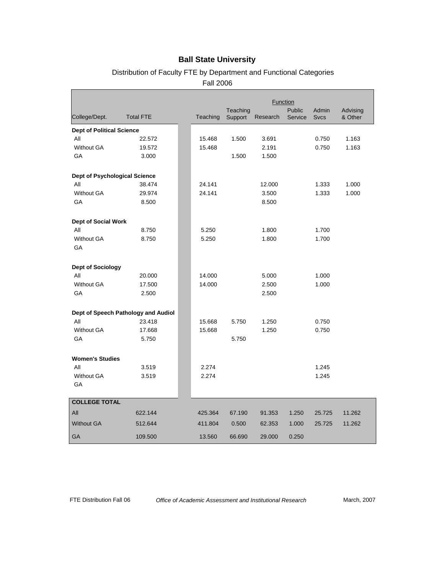# Distribution of Faculty FTE by Department and Functional Categories

Fall 2006

|                                      |                                     | Function |                     |          |                   |                      |                     |
|--------------------------------------|-------------------------------------|----------|---------------------|----------|-------------------|----------------------|---------------------|
| College/Dept.                        | <b>Total FTE</b>                    | Teaching | Teaching<br>Support | Research | Public<br>Service | Admin<br><b>Sycs</b> | Advising<br>& Other |
| <b>Dept of Political Science</b>     |                                     |          |                     |          |                   |                      |                     |
| All                                  | 22.572                              | 15.468   | 1.500               | 3.691    |                   | 0.750                | 1.163               |
| Without GA                           | 19.572                              | 15.468   |                     | 2.191    |                   | 0.750                | 1.163               |
| GA                                   | 3.000                               |          | 1.500               | 1.500    |                   |                      |                     |
| <b>Dept of Psychological Science</b> |                                     |          |                     |          |                   |                      |                     |
| All                                  | 38.474                              | 24.141   |                     | 12.000   |                   | 1.333                | 1.000               |
| <b>Without GA</b>                    | 29.974                              | 24.141   |                     | 3.500    |                   | 1.333                | 1.000               |
| GA                                   | 8.500                               |          |                     | 8.500    |                   |                      |                     |
| Dept of Social Work                  |                                     |          |                     |          |                   |                      |                     |
| All                                  | 8.750                               | 5.250    |                     | 1.800    |                   | 1.700                |                     |
| <b>Without GA</b><br>GA              | 8.750                               | 5.250    |                     | 1.800    |                   | 1.700                |                     |
| <b>Dept of Sociology</b>             |                                     |          |                     |          |                   |                      |                     |
| All                                  | 20.000                              | 14.000   |                     | 5.000    |                   | 1.000                |                     |
| <b>Without GA</b>                    | 17.500                              | 14.000   |                     | 2.500    |                   | 1.000                |                     |
| GA                                   | 2.500                               |          |                     | 2.500    |                   |                      |                     |
|                                      | Dept of Speech Pathology and Audiol |          |                     |          |                   |                      |                     |
| All                                  | 23.418                              | 15.668   | 5.750               | 1.250    |                   | 0.750                |                     |
| <b>Without GA</b>                    | 17.668                              | 15.668   |                     | 1.250    |                   | 0.750                |                     |
| GA                                   | 5.750                               |          | 5.750               |          |                   |                      |                     |
| <b>Women's Studies</b>               |                                     |          |                     |          |                   |                      |                     |
| All                                  | 3.519                               | 2.274    |                     |          |                   | 1.245                |                     |
| <b>Without GA</b><br>GA              | 3.519                               | 2.274    |                     |          |                   | 1.245                |                     |
|                                      |                                     |          |                     |          |                   |                      |                     |
| <b>COLLEGE TOTAL</b>                 |                                     |          |                     |          |                   |                      |                     |
| All                                  | 622.144                             | 425.364  | 67.190              | 91.353   | 1.250             | 25.725               | 11.262              |
| <b>Without GA</b>                    | 512.644                             | 411.804  | 0.500               | 62.353   | 1.000             | 25.725               | 11.262              |
| <b>GA</b>                            | 109.500                             | 13.560   | 66.690              | 29.000   | 0.250             |                      |                     |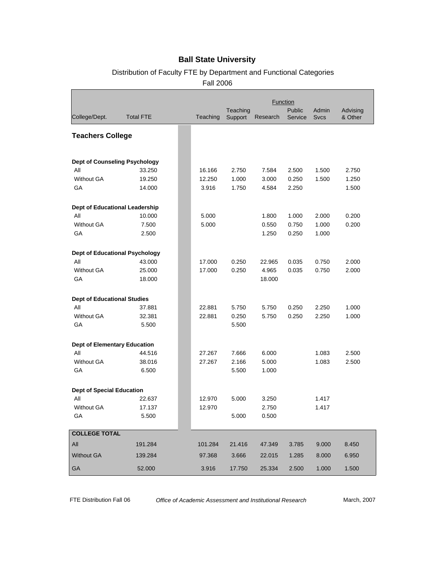# Distribution of Faculty FTE by Department and Functional Categories

Fall 2006

|                                       |                  |          |                     |          | Function          |                      |                     |
|---------------------------------------|------------------|----------|---------------------|----------|-------------------|----------------------|---------------------|
| College/Dept.                         | <b>Total FTE</b> | Teaching | Teaching<br>Support | Research | Public<br>Service | Admin<br><b>Svcs</b> | Advising<br>& Other |
| <b>Teachers College</b>               |                  |          |                     |          |                   |                      |                     |
| <b>Dept of Counseling Psychology</b>  |                  |          |                     |          |                   |                      |                     |
| All                                   | 33.250           | 16.166   | 2.750               | 7.584    | 2.500             | 1.500                | 2.750               |
| Without GA                            | 19.250           | 12.250   | 1.000               | 3.000    | 0.250             | 1.500                | 1.250               |
| GA                                    | 14.000           | 3.916    | 1.750               | 4.584    | 2.250             |                      | 1.500               |
| Dept of Educational Leadership        |                  |          |                     |          |                   |                      |                     |
| All                                   | 10.000           | 5.000    |                     | 1.800    | 1.000             | 2.000                | 0.200               |
| <b>Without GA</b>                     | 7.500            | 5.000    |                     | 0.550    | 0.750             | 1.000                | 0.200               |
| GA                                    | 2.500            |          |                     | 1.250    | 0.250             | 1.000                |                     |
| <b>Dept of Educational Psychology</b> |                  |          |                     |          |                   |                      |                     |
| All                                   | 43.000           | 17.000   | 0.250               | 22.965   | 0.035             | 0.750                | 2.000               |
| Without GA                            | 25.000           | 17.000   | 0.250               | 4.965    | 0.035             | 0.750                | 2.000               |
| GA                                    | 18.000           |          |                     | 18.000   |                   |                      |                     |
| <b>Dept of Educational Studies</b>    |                  |          |                     |          |                   |                      |                     |
| All                                   | 37.881           | 22.881   | 5.750               | 5.750    | 0.250             | 2.250                | 1.000               |
| Without GA                            | 32.381           | 22.881   | 0.250               | 5.750    | 0.250             | 2.250                | 1.000               |
| GA                                    | 5.500            |          | 5.500               |          |                   |                      |                     |
| <b>Dept of Elementary Education</b>   |                  |          |                     |          |                   |                      |                     |
| All                                   | 44.516           | 27.267   | 7.666               | 6.000    |                   | 1.083                | 2.500               |
| Without GA                            | 38.016           | 27.267   | 2.166               | 5.000    |                   | 1.083                | 2.500               |
| GA                                    | 6.500            |          | 5.500               | 1.000    |                   |                      |                     |
| <b>Dept of Special Education</b>      |                  |          |                     |          |                   |                      |                     |
| All                                   | 22.637           | 12.970   | 5.000               | 3.250    |                   | 1.417                |                     |
| <b>Without GA</b>                     | 17.137           | 12.970   |                     | 2.750    |                   | 1.417                |                     |
| GA                                    | 5.500            |          | 5.000               | 0.500    |                   |                      |                     |
| <b>COLLEGE TOTAL</b>                  |                  |          |                     |          |                   |                      |                     |
| All                                   | 191.284          | 101.284  | 21.416              | 47.349   | 3.785             | 9.000                | 8.450               |
| <b>Without GA</b>                     | 139.284          | 97.368   | 3.666               | 22.015   | 1.285             | 8.000                | 6.950               |
| <b>GA</b>                             | 52.000           | 3.916    | 17.750              | 25.334   | 2.500             | 1.000                | 1.500               |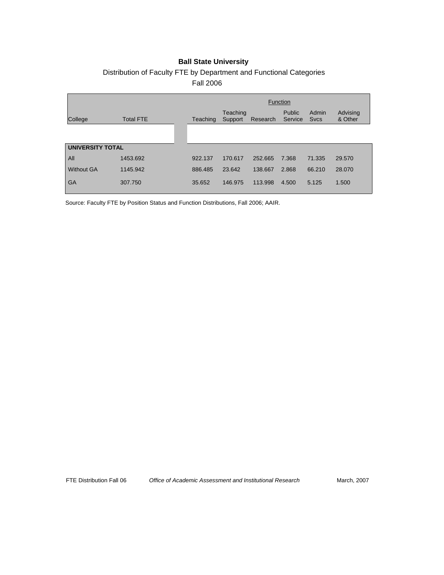# Distribution of Faculty FTE by Department and Functional Categories

Fall 2006

|                         |                  |          | Function            |          |                   |                      |                     |  |
|-------------------------|------------------|----------|---------------------|----------|-------------------|----------------------|---------------------|--|
| College                 | <b>Total FTE</b> | Teaching | Teaching<br>Support | Research | Public<br>Service | Admin<br><b>Svcs</b> | Advising<br>& Other |  |
|                         |                  |          |                     |          |                   |                      |                     |  |
| <b>UNIVERSITY TOTAL</b> |                  |          |                     |          |                   |                      |                     |  |
| All                     | 1453.692         | 922.137  | 170.617             | 252.665  | 7.368             | 71.335               | 29.570              |  |
| <b>Without GA</b>       | 1145.942         | 886.485  | 23.642              | 138.667  | 2.868             | 66,210               | 28.070              |  |
| GA                      | 307.750          | 35.652   | 146.975             | 113.998  | 4.500             | 5.125                | 1.500               |  |

Source: Faculty FTE by Position Status and Function Distributions, Fall 2006; AAIR.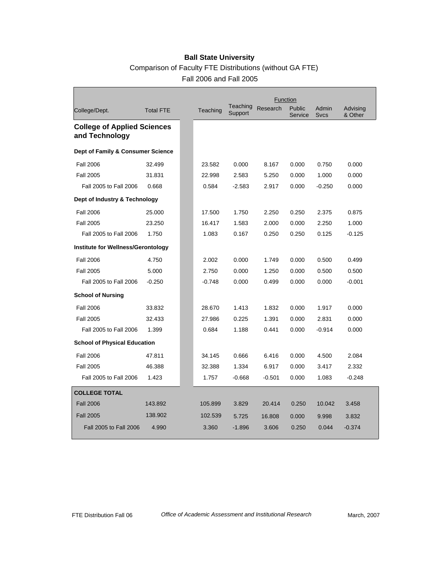|                                                      |                  |          |                     | Function |                   |                      |                     |
|------------------------------------------------------|------------------|----------|---------------------|----------|-------------------|----------------------|---------------------|
| College/Dept.                                        | <b>Total FTE</b> | Teaching | Teaching<br>Support | Research | Public<br>Service | Admin<br><b>Svcs</b> | Advising<br>& Other |
| <b>College of Applied Sciences</b><br>and Technology |                  |          |                     |          |                   |                      |                     |
| Dept of Family & Consumer Science                    |                  |          |                     |          |                   |                      |                     |
| <b>Fall 2006</b>                                     | 32.499           | 23.582   | 0.000               | 8.167    | 0.000             | 0.750                | 0.000               |
| <b>Fall 2005</b>                                     | 31.831           | 22.998   | 2.583               | 5.250    | 0.000             | 1.000                | 0.000               |
| Fall 2005 to Fall 2006                               | 0.668            | 0.584    | $-2.583$            | 2.917    | 0.000             | $-0.250$             | 0.000               |
| Dept of Industry & Technology                        |                  |          |                     |          |                   |                      |                     |
| <b>Fall 2006</b>                                     | 25.000           | 17.500   | 1.750               | 2.250    | 0.250             | 2.375                | 0.875               |
| <b>Fall 2005</b>                                     | 23.250           | 16.417   | 1.583               | 2.000    | 0.000             | 2.250                | 1.000               |
| Fall 2005 to Fall 2006                               | 1.750            | 1.083    | 0.167               | 0.250    | 0.250             | 0.125                | $-0.125$            |
| Institute for Wellness/Gerontology                   |                  |          |                     |          |                   |                      |                     |
| <b>Fall 2006</b>                                     | 4.750            | 2.002    | 0.000               | 1.749    | 0.000             | 0.500                | 0.499               |
| <b>Fall 2005</b>                                     | 5.000            | 2.750    | 0.000               | 1.250    | 0.000             | 0.500                | 0.500               |
| Fall 2005 to Fall 2006                               | $-0.250$         | $-0.748$ | 0.000               | 0.499    | 0.000             | 0.000                | $-0.001$            |
| <b>School of Nursing</b>                             |                  |          |                     |          |                   |                      |                     |
| <b>Fall 2006</b>                                     | 33.832           | 28.670   | 1.413               | 1.832    | 0.000             | 1.917                | 0.000               |
| <b>Fall 2005</b>                                     | 32.433           | 27.986   | 0.225               | 1.391    | 0.000             | 2.831                | 0.000               |
| Fall 2005 to Fall 2006                               | 1.399            | 0.684    | 1.188               | 0.441    | 0.000             | $-0.914$             | 0.000               |
| <b>School of Physical Education</b>                  |                  |          |                     |          |                   |                      |                     |
| <b>Fall 2006</b>                                     | 47.811           | 34.145   | 0.666               | 6.416    | 0.000             | 4.500                | 2.084               |
| <b>Fall 2005</b>                                     | 46.388           | 32.388   | 1.334               | 6.917    | 0.000             | 3.417                | 2.332               |
| Fall 2005 to Fall 2006                               | 1.423            | 1.757    | $-0.668$            | $-0.501$ | 0.000             | 1.083                | $-0.248$            |
| <b>COLLEGE TOTAL</b>                                 |                  |          |                     |          |                   |                      |                     |
| <b>Fall 2006</b>                                     | 143.892          | 105.899  | 3.829               | 20.414   | 0.250             | 10.042               | 3.458               |
| <b>Fall 2005</b>                                     | 138.902          | 102.539  | 5.725               | 16.808   | 0.000             | 9.998                | 3.832               |
| Fall 2005 to Fall 2006                               | 4.990            | 3.360    | $-1.896$            | 3.606    | 0.250             | 0.044                | $-0.374$            |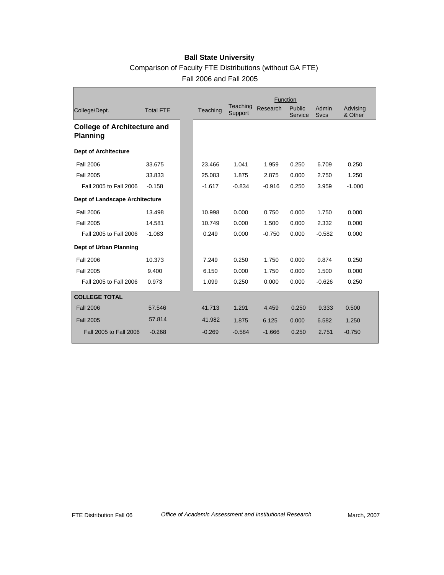|                                                       |                  |          |                     | Function |                   |                      |                     |
|-------------------------------------------------------|------------------|----------|---------------------|----------|-------------------|----------------------|---------------------|
| College/Dept.                                         | <b>Total FTE</b> | Teaching | Teaching<br>Support | Research | Public<br>Service | Admin<br><b>Svcs</b> | Advising<br>& Other |
| <b>College of Architecture and</b><br><b>Planning</b> |                  |          |                     |          |                   |                      |                     |
| <b>Dept of Architecture</b>                           |                  |          |                     |          |                   |                      |                     |
| <b>Fall 2006</b>                                      | 33.675           | 23.466   | 1.041               | 1.959    | 0.250             | 6.709                | 0.250               |
| <b>Fall 2005</b>                                      | 33.833           | 25.083   | 1.875               | 2.875    | 0.000             | 2.750                | 1.250               |
| Fall 2005 to Fall 2006                                | $-0.158$         | $-1.617$ | $-0.834$            | $-0.916$ | 0.250             | 3.959                | $-1.000$            |
| Dept of Landscape Architecture                        |                  |          |                     |          |                   |                      |                     |
| <b>Fall 2006</b>                                      | 13.498           | 10.998   | 0.000               | 0.750    | 0.000             | 1.750                | 0.000               |
| <b>Fall 2005</b>                                      | 14.581           | 10.749   | 0.000               | 1.500    | 0.000             | 2.332                | 0.000               |
| Fall 2005 to Fall 2006                                | $-1.083$         | 0.249    | 0.000               | $-0.750$ | 0.000             | $-0.582$             | 0.000               |
| Dept of Urban Planning                                |                  |          |                     |          |                   |                      |                     |
| <b>Fall 2006</b>                                      | 10.373           | 7.249    | 0.250               | 1.750    | 0.000             | 0.874                | 0.250               |
| <b>Fall 2005</b>                                      | 9.400            | 6.150    | 0.000               | 1.750    | 0.000             | 1.500                | 0.000               |
| Fall 2005 to Fall 2006                                | 0.973            | 1.099    | 0.250               | 0.000    | 0.000             | $-0.626$             | 0.250               |
| <b>COLLEGE TOTAL</b>                                  |                  |          |                     |          |                   |                      |                     |
| <b>Fall 2006</b>                                      | 57.546           | 41.713   | 1.291               | 4.459    | 0.250             | 9.333                | 0.500               |
| <b>Fall 2005</b>                                      | 57.814           | 41.982   | 1.875               | 6.125    | 0.000             | 6.582                | 1.250               |
| Fall 2005 to Fall 2006                                | $-0.268$         | $-0.269$ | $-0.584$            | $-1.666$ | 0.250             | 2.751                | $-0.750$            |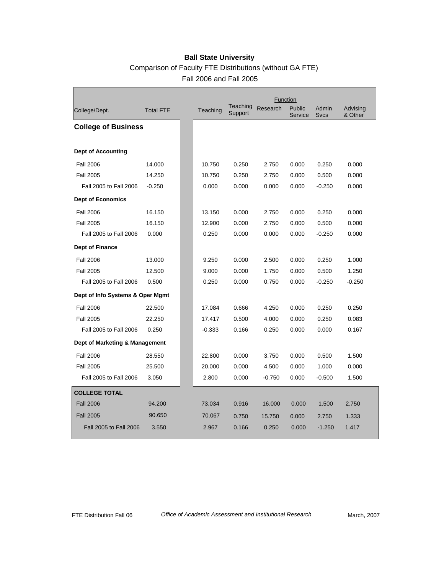|                                  |                  |          |                     | Function |                   |               |                     |
|----------------------------------|------------------|----------|---------------------|----------|-------------------|---------------|---------------------|
| College/Dept.                    | <b>Total FTE</b> | Teaching | Teaching<br>Support | Research | Public<br>Service | Admin<br>Svcs | Advising<br>& Other |
| <b>College of Business</b>       |                  |          |                     |          |                   |               |                     |
|                                  |                  |          |                     |          |                   |               |                     |
| <b>Dept of Accounting</b>        |                  |          |                     |          |                   |               |                     |
| <b>Fall 2006</b>                 | 14.000           | 10.750   | 0.250               | 2.750    | 0.000             | 0.250         | 0.000               |
| <b>Fall 2005</b>                 | 14.250           | 10.750   | 0.250               | 2.750    | 0.000             | 0.500         | 0.000               |
| Fall 2005 to Fall 2006           | $-0.250$         | 0.000    | 0.000               | 0.000    | 0.000             | $-0.250$      | 0.000               |
| <b>Dept of Economics</b>         |                  |          |                     |          |                   |               |                     |
| <b>Fall 2006</b>                 | 16.150           | 13.150   | 0.000               | 2.750    | 0.000             | 0.250         | 0.000               |
| <b>Fall 2005</b>                 | 16.150           | 12.900   | 0.000               | 2.750    | 0.000             | 0.500         | 0.000               |
| Fall 2005 to Fall 2006           | 0.000            | 0.250    | 0.000               | 0.000    | 0.000             | $-0.250$      | 0.000               |
| <b>Dept of Finance</b>           |                  |          |                     |          |                   |               |                     |
| <b>Fall 2006</b>                 | 13.000           | 9.250    | 0.000               | 2.500    | 0.000             | 0.250         | 1.000               |
| <b>Fall 2005</b>                 | 12.500           | 9.000    | 0.000               | 1.750    | 0.000             | 0.500         | 1.250               |
| Fall 2005 to Fall 2006           | 0.500            | 0.250    | 0.000               | 0.750    | 0.000             | $-0.250$      | $-0.250$            |
| Dept of Info Systems & Oper Mgmt |                  |          |                     |          |                   |               |                     |
| <b>Fall 2006</b>                 | 22.500           | 17.084   | 0.666               | 4.250    | 0.000             | 0.250         | 0.250               |
| <b>Fall 2005</b>                 | 22.250           | 17.417   | 0.500               | 4.000    | 0.000             | 0.250         | 0.083               |
| Fall 2005 to Fall 2006           | 0.250            | $-0.333$ | 0.166               | 0.250    | 0.000             | 0.000         | 0.167               |
| Dept of Marketing & Management   |                  |          |                     |          |                   |               |                     |
| <b>Fall 2006</b>                 | 28.550           | 22.800   | 0.000               | 3.750    | 0.000             | 0.500         | 1.500               |
| <b>Fall 2005</b>                 | 25.500           | 20.000   | 0.000               | 4.500    | 0.000             | 1.000         | 0.000               |
| Fall 2005 to Fall 2006           | 3.050            | 2.800    | 0.000               | $-0.750$ | 0.000             | $-0.500$      | 1.500               |
| <b>COLLEGE TOTAL</b>             |                  |          |                     |          |                   |               |                     |
| <b>Fall 2006</b>                 | 94.200           | 73.034   | 0.916               | 16.000   | 0.000             | 1.500         | 2.750               |
| <b>Fall 2005</b>                 | 90.650           | 70.067   | 0.750               | 15.750   | 0.000             | 2.750         | 1.333               |
| Fall 2005 to Fall 2006           | 3.550            | 2.967    | 0.166               | 0.250    | 0.000             | $-1.250$      | 1.417               |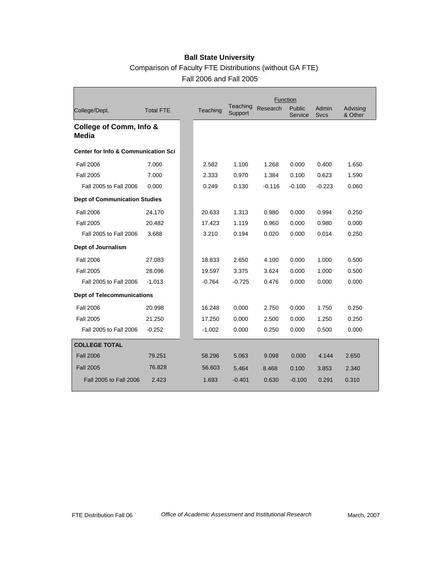|                                                |                  |          |                     | Function |                   |                      |                     |
|------------------------------------------------|------------------|----------|---------------------|----------|-------------------|----------------------|---------------------|
| College/Dept.                                  | <b>Total FTE</b> | Teaching | Teaching<br>Support | Research | Public<br>Service | Admin<br><b>Sycs</b> | Advising<br>& Other |
| College of Comm, Info &<br>Media               |                  |          |                     |          |                   |                      |                     |
| <b>Center for Info &amp; Communication Sci</b> |                  |          |                     |          |                   |                      |                     |
| <b>Fall 2006</b>                               | 7.000            | 2.582    | 1.100               | 1.268    | 0.000             | 0.400                | 1.650               |
| <b>Fall 2005</b>                               | 7.000            | 2.333    | 0.970               | 1.384    | 0.100             | 0.623                | 1.590               |
| Fall 2005 to Fall 2006                         | 0.000            | 0.249    | 0.130               | $-0.116$ | $-0.100$          | $-0.223$             | 0.060               |
| <b>Dept of Communication Studies</b>           |                  |          |                     |          |                   |                      |                     |
| Fall 2006                                      | 24.170           | 20.633   | 1.313               | 0.980    | 0.000             | 0.994                | 0.250               |
| <b>Fall 2005</b>                               | 20.482           | 17.423   | 1.119               | 0.960    | 0.000             | 0.980                | 0.000               |
| Fall 2005 to Fall 2006                         | 3.688            | 3.210    | 0.194               | 0.020    | 0.000             | 0.014                | 0.250               |
| Dept of Journalism                             |                  |          |                     |          |                   |                      |                     |
| Fall 2006                                      | 27.083           | 18.833   | 2.650               | 4.100    | 0.000             | 1.000                | 0.500               |
| <b>Fall 2005</b>                               | 28.096           | 19.597   | 3.375               | 3.624    | 0.000             | 1.000                | 0.500               |
| Fall 2005 to Fall 2006                         | $-1.013$         | $-0.764$ | $-0.725$            | 0.476    | 0.000             | 0.000                | 0.000               |
| <b>Dept of Telecommunications</b>              |                  |          |                     |          |                   |                      |                     |
| <b>Fall 2006</b>                               | 20.998           | 16.248   | 0.000               | 2.750    | 0.000             | 1.750                | 0.250               |
| <b>Fall 2005</b>                               | 21.250           | 17.250   | 0.000               | 2.500    | 0.000             | 1.250                | 0.250               |
| Fall 2005 to Fall 2006                         | $-0.252$         | $-1.002$ | 0.000               | 0.250    | 0.000             | 0.500                | 0.000               |
| <b>COLLEGE TOTAL</b>                           |                  |          |                     |          |                   |                      |                     |
| <b>Fall 2006</b>                               | 79.251           | 58.296   | 5.063               | 9.098    | 0.000             | 4.144                | 2.650               |
| <b>Fall 2005</b>                               | 76.828           | 56.603   | 5.464               | 8.468    | 0.100             | 3.853                | 2.340               |
| Fall 2005 to Fall 2006                         | 2.423            | 1.693    | $-0.401$            | 0.630    | $-0.100$          | 0.291                | 0.310               |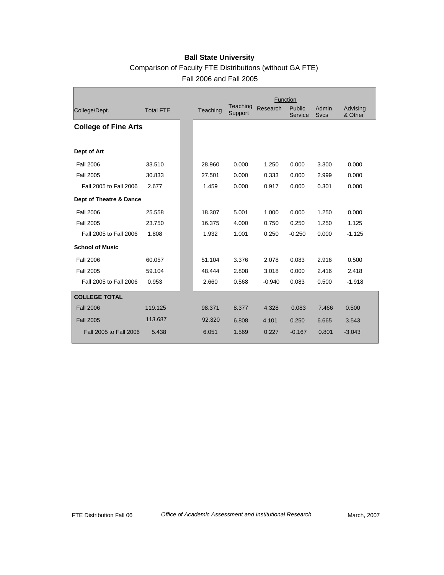|                             |                  |          |                     | Function |                   |                      |                     |
|-----------------------------|------------------|----------|---------------------|----------|-------------------|----------------------|---------------------|
| College/Dept.               | <b>Total FTE</b> | Teaching | Teaching<br>Support | Research | Public<br>Service | Admin<br><b>Svcs</b> | Advising<br>& Other |
| <b>College of Fine Arts</b> |                  |          |                     |          |                   |                      |                     |
| Dept of Art                 |                  |          |                     |          |                   |                      |                     |
| <b>Fall 2006</b>            | 33.510           | 28.960   | 0.000               | 1.250    | 0.000             | 3.300                | 0.000               |
| <b>Fall 2005</b>            | 30.833           | 27.501   | 0.000               | 0.333    | 0.000             | 2.999                | 0.000               |
| Fall 2005 to Fall 2006      | 2.677            | 1.459    | 0.000               | 0.917    | 0.000             | 0.301                | 0.000               |
| Dept of Theatre & Dance     |                  |          |                     |          |                   |                      |                     |
| <b>Fall 2006</b>            | 25.558           | 18.307   | 5.001               | 1.000    | 0.000             | 1.250                | 0.000               |
| <b>Fall 2005</b>            | 23.750           | 16.375   | 4.000               | 0.750    | 0.250             | 1.250                | 1.125               |
| Fall 2005 to Fall 2006      | 1.808            | 1.932    | 1.001               | 0.250    | $-0.250$          | 0.000                | $-1.125$            |
| <b>School of Music</b>      |                  |          |                     |          |                   |                      |                     |
| <b>Fall 2006</b>            | 60.057           | 51.104   | 3.376               | 2.078    | 0.083             | 2.916                | 0.500               |
| <b>Fall 2005</b>            | 59.104           | 48.444   | 2.808               | 3.018    | 0.000             | 2.416                | 2.418               |
| Fall 2005 to Fall 2006      | 0.953            | 2.660    | 0.568               | $-0.940$ | 0.083             | 0.500                | $-1.918$            |
| <b>COLLEGE TOTAL</b>        |                  |          |                     |          |                   |                      |                     |
| <b>Fall 2006</b>            | 119.125          | 98.371   | 8.377               | 4.328    | 0.083             | 7.466                | 0.500               |
| <b>Fall 2005</b>            | 113.687          | 92.320   | 6.808               | 4.101    | 0.250             | 6.665                | 3.543               |
| Fall 2005 to Fall 2006      | 5.438            | 6.051    | 1.569               | 0.227    | $-0.167$          | 0.801                | $-3.043$            |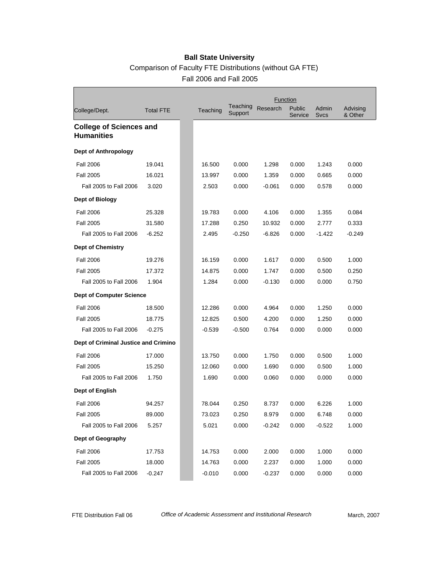# Comparison of Faculty FTE Distributions (without GA FTE)

Fall 2006 and Fall 2005

|                                                     |                  |          |                     |          | Function          |                      |                     |
|-----------------------------------------------------|------------------|----------|---------------------|----------|-------------------|----------------------|---------------------|
| College/Dept.                                       | <b>Total FTE</b> | Teaching | Teaching<br>Support | Research | Public<br>Service | Admin<br><b>Sycs</b> | Advising<br>& Other |
| <b>College of Sciences and</b><br><b>Humanities</b> |                  |          |                     |          |                   |                      |                     |
| <b>Dept of Anthropology</b>                         |                  |          |                     |          |                   |                      |                     |
| <b>Fall 2006</b>                                    | 19.041           | 16.500   | 0.000               | 1.298    | 0.000             | 1.243                | 0.000               |
| <b>Fall 2005</b>                                    | 16.021           | 13.997   | 0.000               | 1.359    | 0.000             | 0.665                | 0.000               |
| Fall 2005 to Fall 2006                              | 3.020            | 2.503    | 0.000               | $-0.061$ | 0.000             | 0.578                | 0.000               |
| <b>Dept of Biology</b>                              |                  |          |                     |          |                   |                      |                     |
| <b>Fall 2006</b>                                    | 25.328           | 19.783   | 0.000               | 4.106    | 0.000             | 1.355                | 0.084               |
| <b>Fall 2005</b>                                    | 31.580           | 17.288   | 0.250               | 10.932   | 0.000             | 2.777                | 0.333               |
| Fall 2005 to Fall 2006                              | $-6.252$         | 2.495    | $-0.250$            | $-6.826$ | 0.000             | $-1.422$             | $-0.249$            |
| <b>Dept of Chemistry</b>                            |                  |          |                     |          |                   |                      |                     |
| <b>Fall 2006</b>                                    | 19.276           | 16.159   | 0.000               | 1.617    | 0.000             | 0.500                | 1.000               |
| <b>Fall 2005</b>                                    | 17.372           | 14.875   | 0.000               | 1.747    | 0.000             | 0.500                | 0.250               |
| Fall 2005 to Fall 2006                              | 1.904            | 1.284    | 0.000               | $-0.130$ | 0.000             | 0.000                | 0.750               |
| <b>Dept of Computer Science</b>                     |                  |          |                     |          |                   |                      |                     |
| <b>Fall 2006</b>                                    | 18.500           | 12.286   | 0.000               | 4.964    | 0.000             | 1.250                | 0.000               |
| <b>Fall 2005</b>                                    | 18.775           | 12.825   | 0.500               | 4.200    | 0.000             | 1.250                | 0.000               |
| Fall 2005 to Fall 2006                              | $-0.275$         | $-0.539$ | $-0.500$            | 0.764    | 0.000             | 0.000                | 0.000               |
| Dept of Criminal Justice and Crimino                |                  |          |                     |          |                   |                      |                     |
| <b>Fall 2006</b>                                    | 17.000           | 13.750   | 0.000               | 1.750    | 0.000             | 0.500                | 1.000               |
| <b>Fall 2005</b>                                    | 15.250           | 12.060   | 0.000               | 1.690    | 0.000             | 0.500                | 1.000               |
| Fall 2005 to Fall 2006                              | 1.750            | 1.690    | 0.000               | 0.060    | 0.000             | 0.000                | 0.000               |
| Dept of English                                     |                  |          |                     |          |                   |                      |                     |
| <b>Fall 2006</b>                                    | 94.257           | 78.044   | 0.250               | 8.737    | 0.000             | 6.226                | 1.000               |
| <b>Fall 2005</b>                                    | 89.000           | 73.023   | 0.250               | 8.979    | 0.000             | 6.748                | 0.000               |
| Fall 2005 to Fall 2006                              | 5.257            | 5.021    | 0.000               | $-0.242$ | 0.000             | $-0.522$             | 1.000               |
| Dept of Geography                                   |                  |          |                     |          |                   |                      |                     |
| <b>Fall 2006</b>                                    | 17.753           | 14.753   | 0.000               | 2.000    | 0.000             | 1.000                | 0.000               |
| <b>Fall 2005</b>                                    | 18.000           | 14.763   | 0.000               | 2.237    | 0.000             | 1.000                | 0.000               |
| Fall 2005 to Fall 2006                              | $-0.247$         | $-0.010$ | 0.000               | $-0.237$ | 0.000             | 0.000                | 0.000               |

Г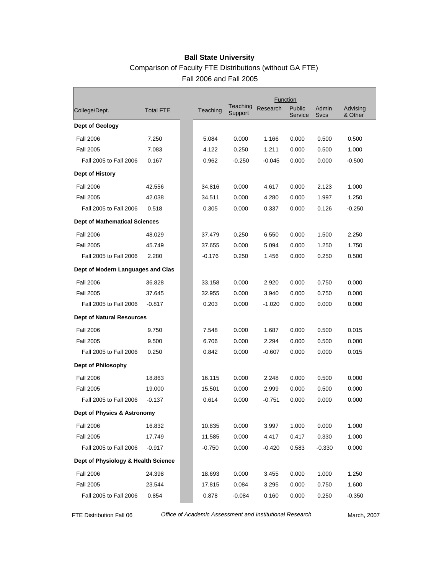#### Comparison of Faculty FTE Distributions (without GA FTE) Fall 2006 and Fall 2005

|                                      |                  |          |                     |          | Function          |                      |                     |
|--------------------------------------|------------------|----------|---------------------|----------|-------------------|----------------------|---------------------|
| College/Dept.                        | <b>Total FTE</b> | Teaching | Teaching<br>Support | Research | Public<br>Service | Admin<br><b>Svcs</b> | Advising<br>& Other |
| Dept of Geology                      |                  |          |                     |          |                   |                      |                     |
| <b>Fall 2006</b>                     | 7.250            | 5.084    | 0.000               | 1.166    | 0.000             | 0.500                | 0.500               |
| <b>Fall 2005</b>                     | 7.083            | 4.122    | 0.250               | 1.211    | 0.000             | 0.500                | 1.000               |
| Fall 2005 to Fall 2006               | 0.167            | 0.962    | $-0.250$            | $-0.045$ | 0.000             | 0.000                | $-0.500$            |
| Dept of History                      |                  |          |                     |          |                   |                      |                     |
| <b>Fall 2006</b>                     | 42.556           | 34.816   | 0.000               | 4.617    | 0.000             | 2.123                | 1.000               |
| <b>Fall 2005</b>                     | 42.038           | 34.511   | 0.000               | 4.280    | 0.000             | 1.997                | 1.250               |
| Fall 2005 to Fall 2006               | 0.518            | 0.305    | 0.000               | 0.337    | 0.000             | 0.126                | $-0.250$            |
| <b>Dept of Mathematical Sciences</b> |                  |          |                     |          |                   |                      |                     |
| <b>Fall 2006</b>                     | 48.029           | 37.479   | 0.250               | 6.550    | 0.000             | 1.500                | 2.250               |
| <b>Fall 2005</b>                     | 45.749           | 37.655   | 0.000               | 5.094    | 0.000             | 1.250                | 1.750               |
| Fall 2005 to Fall 2006               | 2.280            | $-0.176$ | 0.250               | 1.456    | 0.000             | 0.250                | 0.500               |
| Dept of Modern Languages and Clas    |                  |          |                     |          |                   |                      |                     |
| <b>Fall 2006</b>                     | 36.828           | 33.158   | 0.000               | 2.920    | 0.000             | 0.750                | 0.000               |
| <b>Fall 2005</b>                     | 37.645           | 32.955   | 0.000               | 3.940    | 0.000             | 0.750                | 0.000               |
| Fall 2005 to Fall 2006               | $-0.817$         | 0.203    | 0.000               | $-1.020$ | 0.000             | 0.000                | 0.000               |
| <b>Dept of Natural Resources</b>     |                  |          |                     |          |                   |                      |                     |
| <b>Fall 2006</b>                     | 9.750            | 7.548    | 0.000               | 1.687    | 0.000             | 0.500                | 0.015               |
| <b>Fall 2005</b>                     | 9.500            | 6.706    | 0.000               | 2.294    | 0.000             | 0.500                | 0.000               |
| Fall 2005 to Fall 2006               | 0.250            | 0.842    | 0.000               | -0.607   | 0.000             | 0.000                | 0.015               |
| Dept of Philosophy                   |                  |          |                     |          |                   |                      |                     |
| <b>Fall 2006</b>                     | 18.863           | 16.115   | 0.000               | 2.248    | 0.000             | 0.500                | 0.000               |
| <b>Fall 2005</b>                     | 19.000           | 15.501   | 0.000               | 2.999    | 0.000             | 0.500                | 0.000               |
| Fall 2005 to Fall 2006               | $-0.137$         | 0.614    | 0.000               | $-0.751$ | 0.000             | 0.000                | 0.000               |
| Dept of Physics & Astronomy          |                  |          |                     |          |                   |                      |                     |
| <b>Fall 2006</b>                     | 16.832           | 10.835   | 0.000               | 3.997    | 1.000             | 0.000                | 1.000               |
| <b>Fall 2005</b>                     | 17.749           | 11.585   | 0.000               | 4.417    | 0.417             | 0.330                | 1.000               |
| Fall 2005 to Fall 2006               | $-0.917$         | $-0.750$ | 0.000               | -0.420   | 0.583             | $-0.330$             | 0.000               |
| Dept of Physiology & Health Science  |                  |          |                     |          |                   |                      |                     |
| <b>Fall 2006</b>                     | 24.398           | 18.693   | 0.000               | 3.455    | 0.000             | 1.000                | 1.250               |
| <b>Fall 2005</b>                     | 23.544           | 17.815   | 0.084               | 3.295    | 0.000             | 0.750                | 1.600               |
| Fall 2005 to Fall 2006               | 0.854            | 0.878    | $-0.084$            | 0.160    | 0.000             | 0.250                | $-0.350$            |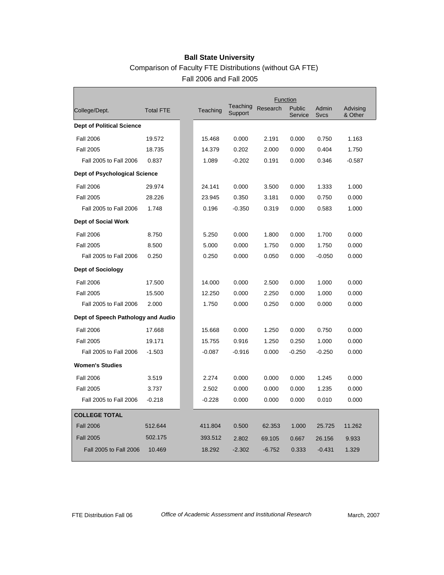|                                      |                  |          |                     | Function |                   |                      |                     |
|--------------------------------------|------------------|----------|---------------------|----------|-------------------|----------------------|---------------------|
| College/Dept.                        | <b>Total FTE</b> | Teaching | Teaching<br>Support | Research | Public<br>Service | Admin<br><b>Svcs</b> | Advising<br>& Other |
| <b>Dept of Political Science</b>     |                  |          |                     |          |                   |                      |                     |
| <b>Fall 2006</b>                     | 19.572           | 15.468   | 0.000               | 2.191    | 0.000             | 0.750                | 1.163               |
| <b>Fall 2005</b>                     | 18.735           | 14.379   | 0.202               | 2.000    | 0.000             | 0.404                | 1.750               |
| Fall 2005 to Fall 2006               | 0.837            | 1.089    | $-0.202$            | 0.191    | 0.000             | 0.346                | $-0.587$            |
| <b>Dept of Psychological Science</b> |                  |          |                     |          |                   |                      |                     |
| <b>Fall 2006</b>                     | 29.974           | 24.141   | 0.000               | 3.500    | 0.000             | 1.333                | 1.000               |
| <b>Fall 2005</b>                     | 28.226           | 23.945   | 0.350               | 3.181    | 0.000             | 0.750                | 0.000               |
| Fall 2005 to Fall 2006               | 1.748            | 0.196    | $-0.350$            | 0.319    | 0.000             | 0.583                | 1.000               |
| <b>Dept of Social Work</b>           |                  |          |                     |          |                   |                      |                     |
| <b>Fall 2006</b>                     | 8.750            | 5.250    | 0.000               | 1.800    | 0.000             | 1.700                | 0.000               |
| <b>Fall 2005</b>                     | 8.500            | 5.000    | 0.000               | 1.750    | 0.000             | 1.750                | 0.000               |
| Fall 2005 to Fall 2006               | 0.250            | 0.250    | 0.000               | 0.050    | 0.000             | $-0.050$             | 0.000               |
| <b>Dept of Sociology</b>             |                  |          |                     |          |                   |                      |                     |
| <b>Fall 2006</b>                     | 17.500           | 14.000   | 0.000               | 2.500    | 0.000             | 1.000                | 0.000               |
| <b>Fall 2005</b>                     | 15.500           | 12.250   | 0.000               | 2.250    | 0.000             | 1.000                | 0.000               |
| Fall 2005 to Fall 2006               | 2.000            | 1.750    | 0.000               | 0.250    | 0.000             | 0.000                | 0.000               |
| Dept of Speech Pathology and Audio   |                  |          |                     |          |                   |                      |                     |
| <b>Fall 2006</b>                     | 17.668           | 15.668   | 0.000               | 1.250    | 0.000             | 0.750                | 0.000               |
| <b>Fall 2005</b>                     | 19.171           | 15.755   | 0.916               | 1.250    | 0.250             | 1.000                | 0.000               |
| Fall 2005 to Fall 2006               | $-1.503$         | $-0.087$ | $-0.916$            | 0.000    | $-0.250$          | $-0.250$             | 0.000               |
| <b>Women's Studies</b>               |                  |          |                     |          |                   |                      |                     |
| <b>Fall 2006</b>                     | 3.519            | 2.274    | 0.000               | 0.000    | 0.000             | 1.245                | 0.000               |
| <b>Fall 2005</b>                     | 3.737            | 2.502    | 0.000               | 0.000    | 0.000             | 1.235                | 0.000               |
| Fall 2005 to Fall 2006               | $-0.218$         | $-0.228$ | 0.000               | 0.000    | 0.000             | 0.010                | 0.000               |
| <b>COLLEGE TOTAL</b>                 |                  |          |                     |          |                   |                      |                     |
| <b>Fall 2006</b>                     | 512.644          | 411.804  | 0.500               | 62.353   | 1.000             | 25.725               | 11.262              |
| <b>Fall 2005</b>                     | 502.175          | 393.512  | 2.802               | 69.105   | 0.667             | 26.156               | 9.933               |
| Fall 2005 to Fall 2006               | 10.469           | 18.292   | $-2.302$            | $-6.752$ | 0.333             | $-0.431$             | 1.329               |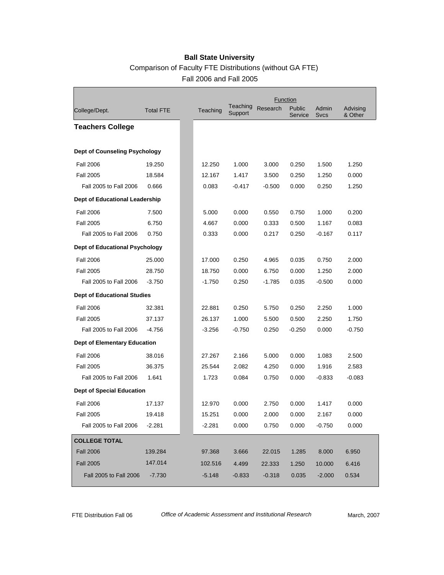#### Comparison of Faculty FTE Distributions (without GA FTE) Fall 2006 and Fall 2005

|                                       |                  |          |                     |          | Function          |                      |                     |
|---------------------------------------|------------------|----------|---------------------|----------|-------------------|----------------------|---------------------|
| College/Dept.                         | <b>Total FTE</b> | Teaching | Teaching<br>Support | Research | Public<br>Service | Admin<br><b>Sycs</b> | Advising<br>& Other |
| <b>Teachers College</b>               |                  |          |                     |          |                   |                      |                     |
|                                       |                  |          |                     |          |                   |                      |                     |
| <b>Dept of Counseling Psychology</b>  |                  |          |                     |          |                   |                      |                     |
| <b>Fall 2006</b>                      | 19.250           | 12.250   | 1.000               | 3.000    | 0.250             | 1.500                | 1.250               |
| <b>Fall 2005</b>                      | 18.584           | 12.167   | 1.417               | 3.500    | 0.250             | 1.250                | 0.000               |
| Fall 2005 to Fall 2006                | 0.666            | 0.083    | $-0.417$            | $-0.500$ | 0.000             | 0.250                | 1.250               |
| Dept of Educational Leadership        |                  |          |                     |          |                   |                      |                     |
| <b>Fall 2006</b>                      | 7.500            | 5.000    | 0.000               | 0.550    | 0.750             | 1.000                | 0.200               |
| <b>Fall 2005</b>                      | 6.750            | 4.667    | 0.000               | 0.333    | 0.500             | 1.167                | 0.083               |
| Fall 2005 to Fall 2006                | 0.750            | 0.333    | 0.000               | 0.217    | 0.250             | $-0.167$             | 0.117               |
| <b>Dept of Educational Psychology</b> |                  |          |                     |          |                   |                      |                     |
| <b>Fall 2006</b>                      | 25.000           | 17.000   | 0.250               | 4.965    | 0.035             | 0.750                | 2.000               |
| <b>Fall 2005</b>                      | 28.750           | 18.750   | 0.000               | 6.750    | 0.000             | 1.250                | 2.000               |
| Fall 2005 to Fall 2006                | $-3.750$         | $-1.750$ | 0.250               | $-1.785$ | 0.035             | $-0.500$             | 0.000               |
| <b>Dept of Educational Studies</b>    |                  |          |                     |          |                   |                      |                     |
| <b>Fall 2006</b>                      | 32.381           | 22.881   | 0.250               | 5.750    | 0.250             | 2.250                | 1.000               |
| <b>Fall 2005</b>                      | 37.137           | 26.137   | 1.000               | 5.500    | 0.500             | 2.250                | 1.750               |
| Fall 2005 to Fall 2006                | $-4.756$         | $-3.256$ | $-0.750$            | 0.250    | $-0.250$          | 0.000                | $-0.750$            |
| <b>Dept of Elementary Education</b>   |                  |          |                     |          |                   |                      |                     |
| <b>Fall 2006</b>                      | 38.016           | 27.267   | 2.166               | 5.000    | 0.000             | 1.083                | 2.500               |
| <b>Fall 2005</b>                      | 36.375           | 25.544   | 2.082               | 4.250    | 0.000             | 1.916                | 2.583               |
| Fall 2005 to Fall 2006                | 1.641            | 1.723    | 0.084               | 0.750    | 0.000             | $-0.833$             | $-0.083$            |
| <b>Dept of Special Education</b>      |                  |          |                     |          |                   |                      |                     |
| <b>Fall 2006</b>                      | 17.137           | 12.970   | 0.000               | 2.750    | 0.000             | 1.417                | 0.000               |
| <b>Fall 2005</b>                      | 19.418           | 15.251   | 0.000               | 2.000    | 0.000             | 2.167                | 0.000               |
| Fall 2005 to Fall 2006                | $-2.281$         | $-2.281$ | 0.000               | 0.750    | 0.000             | $-0.750$             | 0.000               |
| <b>COLLEGE TOTAL</b>                  |                  |          |                     |          |                   |                      |                     |
| <b>Fall 2006</b>                      | 139.284          | 97.368   | 3.666               | 22.015   | 1.285             | 8.000                | 6.950               |
| <b>Fall 2005</b>                      | 147.014          | 102.516  | 4.499               | 22.333   | 1.250             | 10.000               | 6.416               |
| Fall 2005 to Fall 2006                | $-7.730$         | $-5.148$ | $-0.833$            | $-0.318$ | 0.035             | $-2.000$             | 0.534               |

Г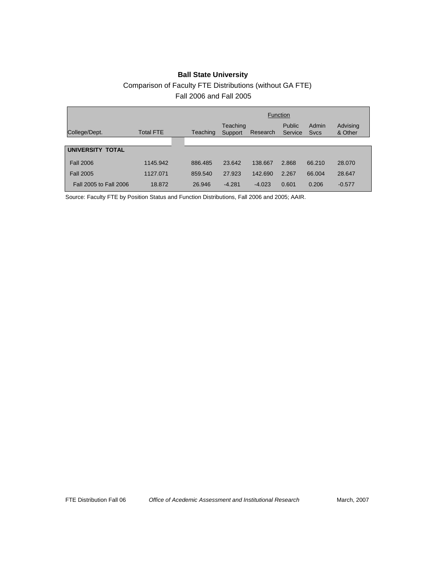#### **Ball State University** Comparison of Faculty FTE Distributions (without GA FTE) Fall 2006 and Fall 2005

|                        |                  |          | <b>Function</b>     |          |                   |                      |                     |  |
|------------------------|------------------|----------|---------------------|----------|-------------------|----------------------|---------------------|--|
| College/Dept.          | <b>Total FTE</b> | Teaching | Teaching<br>Support | Research | Public<br>Service | Admin<br><b>Sycs</b> | Advising<br>& Other |  |
|                        |                  |          |                     |          |                   |                      |                     |  |
| UNIVERSITY TOTAL       |                  |          |                     |          |                   |                      |                     |  |
| <b>Fall 2006</b>       | 1145.942         | 886.485  | 23.642              | 138.667  | 2.868             | 66.210               | 28,070              |  |
| <b>Fall 2005</b>       | 1127.071         | 859.540  | 27.923              | 142.690  | 2.267             | 66.004               | 28.647              |  |
| Fall 2005 to Fall 2006 | 18.872           | 26.946   | $-4.281$            | $-4.023$ | 0.601             | 0.206                | $-0.577$            |  |

Source: Faculty FTE by Position Status and Function Distributions, Fall 2006 and 2005; AAIR.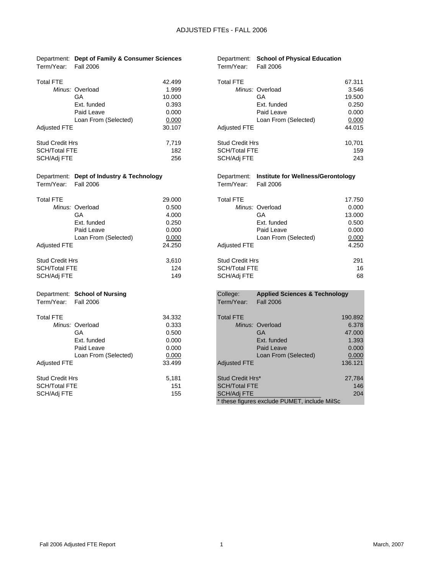|                        | Department: Dept of Family & Consumer Sciences |        |                        | Department: School of Physical Education       |         |
|------------------------|------------------------------------------------|--------|------------------------|------------------------------------------------|---------|
| Term/Year:             | <b>Fall 2006</b>                               |        | Term/Year:             | <b>Fall 2006</b>                               |         |
| <b>Total FTE</b>       |                                                | 42.499 | <b>Total FTE</b>       |                                                | 67.311  |
|                        | Minus: Overload                                | 1.999  |                        | Minus: Overload                                | 3.546   |
|                        | GA                                             | 10.000 |                        | GA                                             | 19.500  |
|                        | Ext. funded                                    | 0.393  |                        | Ext. funded                                    | 0.250   |
|                        | Paid Leave                                     | 0.000  |                        | Paid Leave                                     | 0.000   |
|                        | Loan From (Selected)                           | 0.000  |                        | Loan From (Selected)                           | 0.000   |
| Adjusted FTE           |                                                | 30.107 | <b>Adjusted FTE</b>    |                                                | 44.015  |
| <b>Stud Credit Hrs</b> |                                                | 7,719  | <b>Stud Credit Hrs</b> |                                                | 10,701  |
| SCH/Total FTE          |                                                | 182    | <b>SCH/Total FTE</b>   |                                                | 159     |
| SCH/Adj FTE            |                                                | 256    | SCH/Adj FTE            |                                                | 243     |
|                        | Department: Dept of Industry & Technology      |        |                        | Department: Institute for Wellness/Gerontology |         |
| Term/Year:             | <b>Fall 2006</b>                               |        | Term/Year:             | <b>Fall 2006</b>                               |         |
| Total FTE              |                                                | 29.000 | <b>Total FTE</b>       |                                                | 17.750  |
|                        | Minus: Overload                                | 0.500  |                        | Minus: Overload                                | 0.000   |
|                        | GA                                             | 4.000  |                        | GA                                             | 13.000  |
|                        | Ext. funded                                    | 0.250  |                        | Ext. funded                                    | 0.500   |
|                        | Paid Leave                                     | 0.000  |                        | Paid Leave                                     | 0.000   |
|                        | Loan From (Selected)                           | 0.000  |                        | Loan From (Selected)                           | 0.000   |
| <b>Adjusted FTE</b>    |                                                | 24.250 | <b>Adjusted FTE</b>    |                                                | 4.250   |
| <b>Stud Credit Hrs</b> |                                                | 3,610  | <b>Stud Credit Hrs</b> |                                                | 291     |
| SCH/Total FTE          |                                                | 124    | <b>SCH/Total FTE</b>   |                                                | 16      |
| SCH/Adj FTE            |                                                | 149    | SCH/Adj FTE            |                                                | 68      |
|                        | Department: School of Nursing                  |        | College:               | <b>Applied Sciences &amp; Technology</b>       |         |
| Term/Year:             | <b>Fall 2006</b>                               |        | Term/Year:             | <b>Fall 2006</b>                               |         |
| Total FTE              |                                                | 34.332 | <b>Total FTE</b>       |                                                | 190.892 |
|                        | Minus: Overload                                | 0.333  |                        | Minus: Overload                                | 6.378   |
|                        | GA                                             | 0.500  |                        | <b>GA</b>                                      | 47.000  |
|                        | Ext. funded                                    | 0.000  |                        | Ext. funded                                    | 1.393   |
|                        | Paid Leave                                     | 0.000  |                        | Paid Leave                                     | 0.000   |
|                        | Loan From (Selected)                           | 0.000  |                        | Loan From (Selected)                           | 0.000   |
| Adjusted FTE           |                                                | 33.499 | <b>Adjusted FTE</b>    |                                                | 136.121 |
| Stud Credit Hrs        |                                                | 5,181  | Stud Credit Hrs*       |                                                | 27,784  |
| SCH/Total FTE          |                                                | 151    | <b>SCH/Total FTE</b>   |                                                | 146     |
| SCH/Adj FTE            |                                                | 155    | <b>SCH/Adj FTE</b>     |                                                | 204     |
|                        |                                                |        |                        | * these figures exclude PUMET, include MilSc   |         |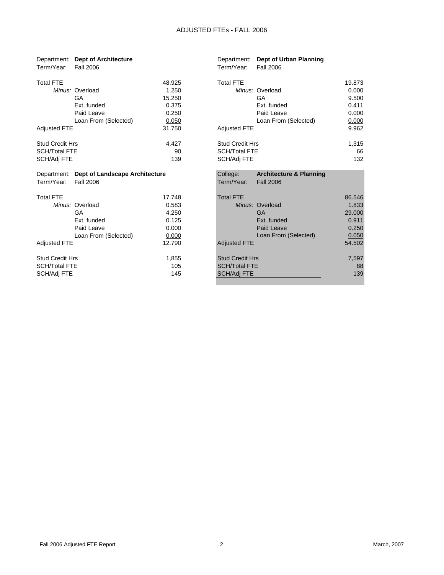| Term/Year:             | Department: Dept of Architecture<br><b>Fall 2006</b> |        | Term/Year:             | Department: Dept of Urban Planning<br>Fall 2006 |        |
|------------------------|------------------------------------------------------|--------|------------------------|-------------------------------------------------|--------|
| <b>Total FTE</b>       |                                                      | 48.925 | <b>Total FTE</b>       |                                                 | 19.873 |
|                        | Minus: Overload                                      | 1.250  |                        | Minus: Overload                                 | 0.000  |
|                        | GA                                                   | 15.250 |                        | GA                                              | 9.500  |
|                        | Ext. funded                                          | 0.375  |                        | Ext. funded                                     | 0.411  |
|                        | Paid Leave                                           | 0.250  |                        | Paid Leave                                      | 0.000  |
|                        | Loan From (Selected)                                 | 0.050  |                        | Loan From (Selected)                            | 0.000  |
| <b>Adjusted FTE</b>    |                                                      | 31.750 | <b>Adjusted FTE</b>    |                                                 | 9.962  |
| <b>Stud Credit Hrs</b> |                                                      | 4,427  | <b>Stud Credit Hrs</b> |                                                 | 1,315  |
| <b>SCH/Total FTE</b>   |                                                      | 90     | <b>SCH/Total FTE</b>   |                                                 | 66     |
| SCH/Adj FTE            |                                                      | 139    | SCH/Adj FTE            |                                                 | 132    |
|                        | Department: Dept of Landscape Architecture           |        | College:               | <b>Architecture &amp; Planning</b>              |        |
| Term/Year:             | <b>Fall 2006</b>                                     |        | Term/Year:             | <b>Fall 2006</b>                                |        |
| <b>Total FTE</b>       |                                                      | 17.748 | <b>Total FTE</b>       |                                                 | 86.546 |
|                        | Minus: Overload                                      | 0.583  |                        | Minus: Overload                                 | 1.833  |
|                        | GA                                                   | 4.250  |                        | <b>GA</b>                                       | 29.000 |
|                        | Ext. funded                                          | 0.125  |                        | Ext. funded                                     | 0.911  |
|                        | Paid Leave                                           | 0.000  |                        | Paid Leave                                      | 0.250  |
|                        | Loan From (Selected)                                 | 0.000  |                        | Loan From (Selected)                            | 0.050  |
| <b>Adjusted FTE</b>    |                                                      | 12.790 | <b>Adjusted FTE</b>    |                                                 | 54.502 |
| <b>Stud Credit Hrs</b> |                                                      | 1,855  | <b>Stud Credit Hrs</b> |                                                 | 7,597  |
| <b>SCH/Total FTE</b>   |                                                      | 105    | <b>SCH/Total FTE</b>   |                                                 | 88     |
| SCH/Adj FTE            |                                                      | 145    | <b>SCH/Adj FTE</b>     |                                                 | 139    |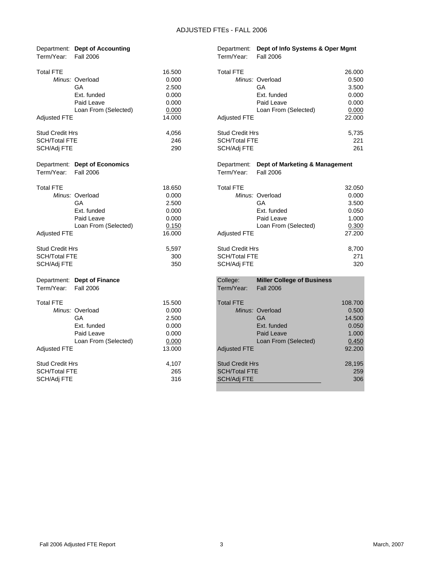| Term/Year:             | Department: Dept of Accounting<br><b>Fall 2006</b> |        | Department:<br>Term/Year: | Dept of Info Systems & Oper Mgmt<br><b>Fall 2006</b> |         |
|------------------------|----------------------------------------------------|--------|---------------------------|------------------------------------------------------|---------|
| <b>Total FTE</b>       |                                                    | 16.500 | <b>Total FTE</b>          |                                                      | 26.000  |
|                        | Minus: Overload                                    | 0.000  |                           | Minus: Overload                                      | 0.500   |
|                        | GA                                                 | 2.500  |                           | GA                                                   | 3.500   |
|                        | Ext. funded                                        | 0.000  |                           | Ext. funded                                          | 0.000   |
|                        | Paid Leave                                         | 0.000  |                           | Paid Leave                                           | 0.000   |
|                        | Loan From (Selected)                               | 0.000  |                           | Loan From (Selected)                                 | 0.000   |
| Adjusted FTE           |                                                    | 14.000 | <b>Adjusted FTE</b>       |                                                      | 22.000  |
| <b>Stud Credit Hrs</b> |                                                    | 4,056  | <b>Stud Credit Hrs</b>    |                                                      | 5,735   |
| <b>SCH/Total FTE</b>   |                                                    | 246    | <b>SCH/Total FTE</b>      |                                                      | 221     |
| SCH/Adj FTE            |                                                    | 290    | SCH/Adj FTE               |                                                      | 261     |
|                        | Department: Dept of Economics                      |        |                           | Department: Dept of Marketing & Management           |         |
| Term/Year:             | Fall 2006                                          |        | Term/Year:                | <b>Fall 2006</b>                                     |         |
| <b>Total FTE</b>       |                                                    | 18.650 | <b>Total FTE</b>          |                                                      | 32.050  |
|                        | Minus: Overload                                    | 0.000  |                           | Minus: Overload                                      | 0.000   |
|                        | GA                                                 | 2.500  |                           | GA                                                   | 3.500   |
|                        | Ext. funded                                        | 0.000  |                           | Ext. funded                                          | 0.050   |
|                        | Paid Leave                                         | 0.000  |                           | Paid Leave                                           | 1.000   |
|                        | Loan From (Selected)                               | 0.150  |                           | Loan From (Selected)                                 | 0.300   |
| <b>Adjusted FTE</b>    |                                                    | 16.000 | <b>Adjusted FTE</b>       |                                                      | 27.200  |
| <b>Stud Credit Hrs</b> |                                                    | 5,597  | <b>Stud Credit Hrs</b>    |                                                      | 8,700   |
| SCH/Total FTE          |                                                    | 300    | <b>SCH/Total FTE</b>      |                                                      | 271     |
| SCH/Adj FTE            |                                                    | 350    | SCH/Adj FTE               |                                                      | 320     |
|                        | Department: Dept of Finance                        |        | College:                  | <b>Miller College of Business</b>                    |         |
| Term/Year:             | <b>Fall 2006</b>                                   |        | Term/Year:                | <b>Fall 2006</b>                                     |         |
| <b>Total FTE</b>       |                                                    | 15.500 | <b>Total FTE</b>          |                                                      | 108.700 |
|                        | Minus: Overload                                    | 0.000  |                           | Minus: Overload                                      | 0.500   |
|                        | GA                                                 | 2.500  |                           | <b>GA</b>                                            | 14.500  |
|                        | Ext. funded                                        | 0.000  |                           | Ext. funded                                          | 0.050   |
|                        | Paid Leave                                         | 0.000  |                           | Paid Leave                                           | 1.000   |
|                        | Loan From (Selected)                               | 0.000  |                           | Loan From (Selected)                                 | 0.450   |
| <b>Adjusted FTE</b>    |                                                    | 13.000 | <b>Adjusted FTE</b>       |                                                      | 92.200  |
| <b>Stud Credit Hrs</b> |                                                    | 4,107  | <b>Stud Credit Hrs</b>    |                                                      | 28,195  |
| SCH/Total FTE          |                                                    | 265    | <b>SCH/Total FTE</b>      |                                                      | 259     |
| SCH/Adj FTE            |                                                    | 316    | SCH/Adj FTE               |                                                      | 306     |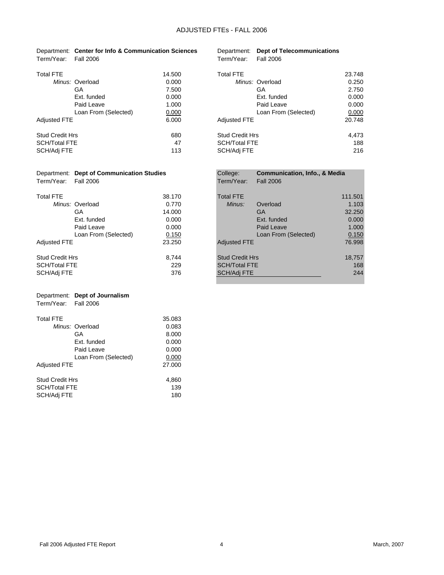|                      | Department: Center for Info & Communication Sciences |                      | Department: Dept of Telecommunications |
|----------------------|------------------------------------------------------|----------------------|----------------------------------------|
| Term/Year: Fall 2006 |                                                      | Term/Year: Fall 2006 |                                        |

|                      | 14.500                                                                                                  | <b>Total FTE</b>       | 23.748 |
|----------------------|---------------------------------------------------------------------------------------------------------|------------------------|--------|
|                      | 0.000                                                                                                   | Minus: Overload        | 0.250  |
| GA                   | 7.500                                                                                                   | GА                     | 2.750  |
| Ext. funded          | 0.000                                                                                                   | Ext. funded            | 0.000  |
| Paid Leave           | 1.000                                                                                                   | Paid Leave             | 0.000  |
| Loan From (Selected) | 0.000                                                                                                   | Loan From (Selected)   | 0.000  |
|                      | 6.000                                                                                                   | <b>Adjusted FTE</b>    | 20.748 |
|                      | 680                                                                                                     | <b>Stud Credit Hrs</b> | 4,473  |
|                      | 47                                                                                                      | <b>SCH/Total FTE</b>   | 188    |
|                      | 113                                                                                                     | SCH/Adj FTE            | 216    |
|                      | Minus: Overload<br><b>Adjusted FTE</b><br><b>Stud Credit Hrs</b><br><b>SCH/Total FTE</b><br>SCH/Adj FTE |                        |        |

| FTE                  | 14.500 | <b>Total FTE</b>       | 23.748 |
|----------------------|--------|------------------------|--------|
| Minus: Overload      | 0.000  | Minus: Overload        | 0.250  |
| GA                   | 7.500  | GА                     | 2.750  |
| Ext. funded          | 0.000  | Ext. funded            | 0.000  |
| Paid Leave           | 1.000  | Paid Leave             | 0.000  |
| Loan From (Selected) | 0.000  | Loan From (Selected)   | 0.000  |
| ed FTE               | 6.000  | <b>Adjusted FTE</b>    | 20.748 |
| ìredit Hrs           | 680    | <b>Stud Credit Hrs</b> | 4,473  |
| otal FTE             | 47     | <b>SCH/Total FTE</b>   | 188    |
| \di FTE              | 113    | SCH/Adj FTE            | 216    |
|                      |        |                        |        |

|                      | Department: Dept of Communication Studies | College:             | <b>Communication, Info., &amp; Media</b> |
|----------------------|-------------------------------------------|----------------------|------------------------------------------|
| Term/Year: Fall 2006 |                                           | Term/Year: Fall 2006 |                                          |

| I <del>c</del> ilili I cal. I ali zuuu |  |
|----------------------------------------|--|
|                                        |  |
| <b>Total FTE</b>                       |  |

|                        | Minus: Overload      | 0.770  | Minus:<br>Overload     | 1.103  |
|------------------------|----------------------|--------|------------------------|--------|
|                        | GA                   | 14.000 | GA                     | 32.250 |
|                        | Ext. funded          | 0.000  | Ext. funded            | 0.000  |
|                        | Paid Leave           | 0.000  | Paid Leave             | 1.000  |
|                        | Loan From (Selected) | 0.150  | Loan From (Selected)   | 0.150  |
| <b>Adjusted FTE</b>    |                      | 23.250 | <b>Adjusted FTE</b>    | 76.998 |
| <b>Stud Credit Hrs</b> |                      | 8.744  | <b>Stud Credit Hrs</b> | 18,757 |
| <b>SCH/Total FTE</b>   |                      | 229    | <b>SCH/Total FTE</b>   | 168    |
| SCH/Adj FTE            |                      | 376    | SCH/Adj FTE            | 244    |

|                      | Department: Dept of Journalism |
|----------------------|--------------------------------|
| Term/Year: Fall 2006 |                                |
|                      |                                |
| <b>Total FTF</b>     |                                |
|                      | Minus: Overload                |
|                      |                                |

|                                                | Minus: Overload      | 0.083        |
|------------------------------------------------|----------------------|--------------|
|                                                | GA                   | 8.000        |
|                                                | Ext. funded          | 0.000        |
|                                                | Paid Leave           | 0.000        |
|                                                | Loan From (Selected) | 0.000        |
| <b>Adjusted FTE</b>                            |                      | 27.000       |
| <b>Stud Credit Hrs</b><br><b>SCH/Total FTE</b> |                      | 4,860<br>139 |
| SCH/Adj FTE                                    |                      | 180          |

35.083

|                 | Department: Dept of Communication Studies |        | College:               | <b>Communication, Info., &amp; Media</b> |         |
|-----------------|-------------------------------------------|--------|------------------------|------------------------------------------|---------|
| Term/Year:      | Fall 2006                                 |        | Term/Year:             | <b>Fall 2006</b>                         |         |
| Total FTE       |                                           | 38.170 | <b>Total FTE</b>       |                                          | 111.501 |
|                 | Minus: Overload                           | 0.770  | Minus:                 | Overload                                 | 1.103   |
|                 | GA                                        | 14.000 |                        | <b>GA</b>                                | 32.250  |
|                 | Ext. funded                               | 0.000  |                        | Ext. funded                              | 0.000   |
|                 | Paid Leave                                | 0.000  |                        | Paid Leave                               | 1.000   |
|                 | Loan From (Selected)                      | 0.150  |                        | Loan From (Selected)                     | 0.150   |
| Adjusted FTE    |                                           | 23.250 | <b>Adjusted FTE</b>    |                                          | 76.998  |
| Stud Credit Hrs |                                           | 8.744  | <b>Stud Credit Hrs</b> |                                          | 18,757  |
| SCH/Total FTE   |                                           | 229    | <b>SCH/Total FTE</b>   |                                          | 168     |
| SCH/Adj FTE     |                                           | 376    | SCH/Adj FTE            |                                          | 244     |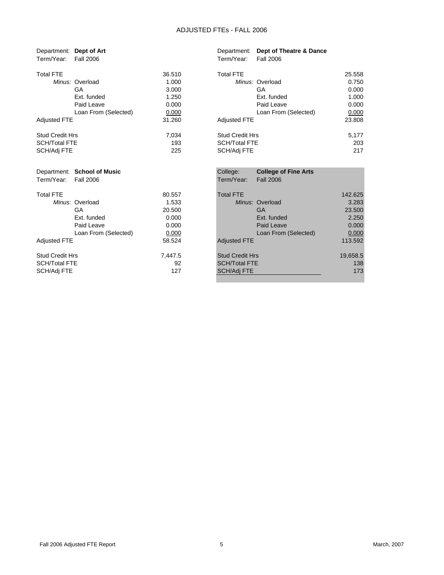| Department: Dept of Art        |         | Department:<br>Dept of Theatre & Dance  |          |
|--------------------------------|---------|-----------------------------------------|----------|
| Term/Year:<br><b>Fall 2006</b> |         | Term/Year:<br><b>Fall 2006</b>          |          |
| <b>Total FTE</b>               | 36.510  | <b>Total FTE</b>                        | 25.558   |
| Minus: Overload                | 1.000   | Minus: Overload                         | 0.750    |
| GA                             | 3.000   | <b>GA</b>                               | 0.000    |
| Ext. funded                    | 1.250   | Ext. funded                             | 1.000    |
| Paid Leave                     | 0.000   | Paid Leave                              | 0.000    |
| Loan From (Selected)           | 0.000   | Loan From (Selected)                    | 0.000    |
| <b>Adjusted FTE</b>            | 31.260  | <b>Adjusted FTE</b>                     | 23.808   |
| <b>Stud Credit Hrs</b>         | 7.034   | <b>Stud Credit Hrs</b>                  | 5,177    |
| <b>SCH/Total FTE</b>           | 193     | <b>SCH/Total FTE</b>                    | 203      |
| SCH/Adj FTE                    | 225     | SCH/Adj FTE                             | 217      |
| Department: School of Music    |         | College:<br><b>College of Fine Arts</b> |          |
| Term/Year:<br><b>Fall 2006</b> |         | Term/Year:<br><b>Fall 2006</b>          |          |
|                                |         |                                         |          |
| <b>Total FTE</b>               | 80.557  | <b>Total FTE</b>                        | 142.625  |
| Minus: Overload                | 1.533   | Minus: Overload                         | 3.283    |
| GA                             | 20.500  | <b>GA</b>                               | 23.500   |
| Ext. funded                    | 0.000   | Ext. funded                             | 2.250    |
| Paid Leave                     | 0.000   | Paid Leave                              | 0.000    |
| Loan From (Selected)           | 0.000   | Loan From (Selected)                    | 0.000    |
| <b>Adjusted FTE</b>            | 58.524  | <b>Adjusted FTE</b>                     | 113.592  |
| <b>Stud Credit Hrs</b>         | 7,447.5 | <b>Stud Credit Hrs</b>                  | 19,658.5 |
| <b>SCH/Total FTE</b>           | 92      | <b>SCH/Total FTE</b>                    | 138      |
| SCH/Adj FTE                    | 127     | <b>SCH/Adj FTE</b>                      | 173      |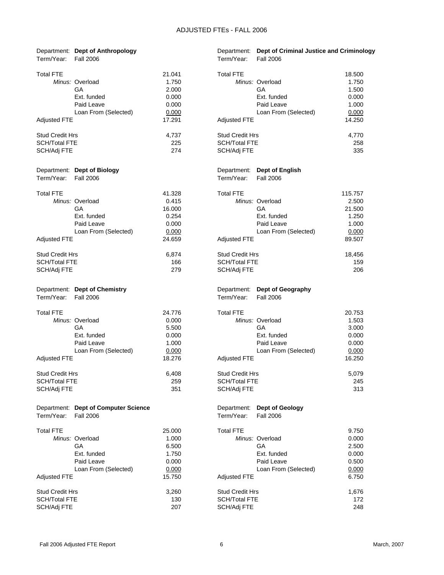| Term/Year:             | Department: Dept of Anthropology<br><b>Fall 2006</b> |        | Department:<br>Term/Year: | Dept of Criminal Justice and Criminology<br><b>Fall 2006</b> |         |
|------------------------|------------------------------------------------------|--------|---------------------------|--------------------------------------------------------------|---------|
| <b>Total FTE</b>       |                                                      | 21.041 | <b>Total FTE</b>          |                                                              | 18.500  |
|                        | Minus: Overload                                      | 1.750  |                           | Minus: Overload                                              | 1.750   |
|                        | GA                                                   | 2.000  |                           | GA                                                           | 1.500   |
|                        | Ext. funded                                          | 0.000  |                           | Ext. funded                                                  | 0.000   |
|                        | Paid Leave                                           | 0.000  |                           | Paid Leave                                                   | 1.000   |
|                        | Loan From (Selected)                                 | 0.000  |                           | Loan From (Selected)                                         | 0.000   |
| <b>Adjusted FTE</b>    |                                                      | 17.291 | Adjusted FTE              |                                                              | 14.250  |
| <b>Stud Credit Hrs</b> |                                                      | 4,737  | <b>Stud Credit Hrs</b>    |                                                              | 4,770   |
| <b>SCH/Total FTE</b>   |                                                      | 225    | <b>SCH/Total FTE</b>      |                                                              | 258     |
| SCH/Adj FTE            |                                                      | 274    | SCH/Adj FTE               |                                                              | 335     |
|                        | Department: Dept of Biology                          |        | Department:               | <b>Dept of English</b>                                       |         |
| Term/Year:             | <b>Fall 2006</b>                                     |        | Term/Year:                | <b>Fall 2006</b>                                             |         |
| <b>Total FTE</b>       |                                                      | 41.328 | <b>Total FTE</b>          |                                                              | 115.757 |
|                        | Minus: Overload                                      | 0.415  |                           | Minus: Overload                                              | 2.500   |
|                        | GA                                                   | 16.000 |                           | GA                                                           | 21.500  |
|                        | Ext. funded                                          | 0.254  |                           | Ext. funded                                                  | 1.250   |
|                        | Paid Leave                                           | 0.000  |                           | Paid Leave                                                   | 1.000   |
|                        | Loan From (Selected)                                 | 0.000  |                           | Loan From (Selected)                                         | 0.000   |
| <b>Adjusted FTE</b>    |                                                      | 24.659 | <b>Adjusted FTE</b>       |                                                              | 89.507  |
| <b>Stud Credit Hrs</b> |                                                      | 6,874  | <b>Stud Credit Hrs</b>    |                                                              | 18,456  |
| <b>SCH/Total FTE</b>   |                                                      | 166    | <b>SCH/Total FTE</b>      |                                                              | 159     |
| SCH/Adj FTE            |                                                      | 279    | SCH/Adj FTE               |                                                              | 206     |
| Term/Year:             | Department: Dept of Chemistry<br><b>Fall 2006</b>    |        | Department:<br>Term/Year: | Dept of Geography<br><b>Fall 2006</b>                        |         |
|                        |                                                      |        |                           |                                                              |         |
| <b>Total FTE</b>       |                                                      | 24.776 | <b>Total FTE</b>          |                                                              | 20.753  |
|                        | Minus: Overload                                      | 0.000  |                           | Minus: Overload                                              | 1.503   |
|                        | GA                                                   | 5.500  |                           | GA                                                           | 3.000   |
|                        | Ext. funded                                          | 0.000  |                           | Ext. funded                                                  | 0.000   |
|                        | Paid Leave                                           | 1.000  |                           | Paid Leave                                                   | 0.000   |
|                        | Loan From (Selected)                                 | 0.000  |                           | Loan From (Selected)                                         | 0.000   |
| Adjusted FTE           |                                                      | 18.276 | <b>Adjusted FTE</b>       |                                                              | 16.250  |
| <b>Stud Credit Hrs</b> |                                                      | 6,408  | <b>Stud Credit Hrs</b>    |                                                              | 5,079   |
| <b>SCH/Total FTE</b>   |                                                      | 259    | <b>SCH/Total FTE</b>      |                                                              | 245     |
| SCH/Adj FTE            |                                                      | 351    | SCH/Adj FTE               |                                                              | 313     |
|                        | Department: Dept of Computer Science                 |        | Department:               | <b>Dept of Geology</b>                                       |         |
| Term/Year:             | <b>Fall 2006</b>                                     |        | Term/Year:                | <b>Fall 2006</b>                                             |         |
| Total FTE              |                                                      | 25.000 | <b>Total FTE</b>          |                                                              | 9.750   |
|                        | Minus: Overload                                      | 1.000  |                           | Minus: Overload                                              | 0.000   |
|                        | GA                                                   | 6.500  |                           | GA                                                           | 2.500   |
|                        | Ext. funded                                          | 1.750  |                           | Ext. funded                                                  | 0.000   |
|                        | Paid Leave                                           | 0.000  |                           | Paid Leave                                                   | 0.500   |
|                        | Loan From (Selected)                                 | 0.000  |                           | Loan From (Selected)                                         | 0.000   |
| <b>Adjusted FTE</b>    |                                                      | 15.750 | <b>Adjusted FTE</b>       |                                                              | 6.750   |
| <b>Stud Credit Hrs</b> |                                                      | 3,260  | Stud Credit Hrs           |                                                              | 1,676   |
| <b>SCH/Total FTE</b>   |                                                      | 130    | <b>SCH/Total FTE</b>      |                                                              | 172     |
| SCH/Adj FTE            |                                                      | 207    | SCH/Adj FTE               |                                                              | 248     |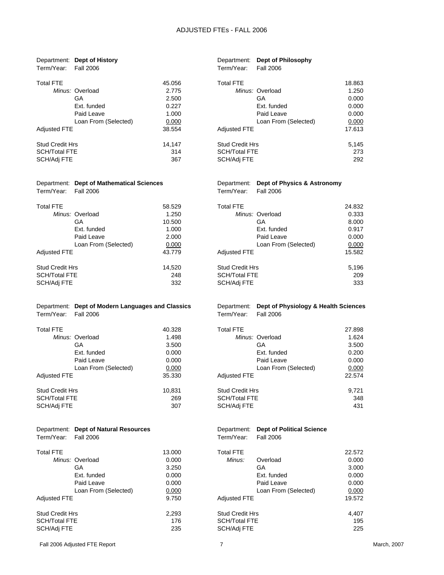|                        | Department: Dept of History                                           |        |                           | Department: Dept of Philosophy                           |        |
|------------------------|-----------------------------------------------------------------------|--------|---------------------------|----------------------------------------------------------|--------|
| Term/Year:             | <b>Fall 2006</b>                                                      |        | Term/Year:                | <b>Fall 2006</b>                                         |        |
| <b>Total FTE</b>       |                                                                       | 45.056 | <b>Total FTE</b>          |                                                          | 18.863 |
|                        | Minus: Overload                                                       | 2.775  |                           | Minus: Overload                                          | 1.250  |
|                        | GA                                                                    | 2.500  |                           | GA                                                       | 0.000  |
|                        | Ext. funded                                                           | 0.227  |                           | Ext. funded                                              | 0.000  |
|                        | Paid Leave                                                            | 1.000  |                           | Paid Leave                                               | 0.000  |
|                        |                                                                       |        |                           |                                                          |        |
|                        | Loan From (Selected)                                                  | 0.000  |                           | Loan From (Selected)                                     | 0.000  |
| <b>Adjusted FTE</b>    |                                                                       | 38.554 | <b>Adjusted FTE</b>       |                                                          | 17.613 |
| <b>Stud Credit Hrs</b> |                                                                       | 14,147 | <b>Stud Credit Hrs</b>    |                                                          | 5,145  |
| <b>SCH/Total FTE</b>   |                                                                       | 314    | <b>SCH/Total FTE</b>      |                                                          | 273    |
| SCH/Adj FTE            |                                                                       | 367    | SCH/Adj FTE               |                                                          | 292    |
|                        |                                                                       |        |                           |                                                          |        |
|                        |                                                                       |        |                           |                                                          |        |
|                        | Department: Dept of Mathematical Sciences                             |        | Department:               | Dept of Physics & Astronomy                              |        |
| Term/Year:             | <b>Fall 2006</b>                                                      |        | Term/Year:                | <b>Fall 2006</b>                                         |        |
| <b>Total FTE</b>       |                                                                       | 58.529 | <b>Total FTE</b>          |                                                          | 24.832 |
|                        | Minus: Overload                                                       | 1.250  |                           | Minus: Overload                                          | 0.333  |
|                        | GA                                                                    | 10.500 |                           | GA                                                       | 8.000  |
|                        | Ext. funded                                                           | 1.000  |                           | Ext. funded                                              | 0.917  |
|                        | Paid Leave                                                            | 2.000  |                           | Paid Leave                                               | 0.000  |
|                        |                                                                       |        |                           |                                                          |        |
|                        | Loan From (Selected)                                                  | 0.000  |                           | Loan From (Selected)                                     | 0.000  |
| <b>Adjusted FTE</b>    |                                                                       | 43.779 | <b>Adjusted FTE</b>       |                                                          | 15.582 |
| <b>Stud Credit Hrs</b> |                                                                       | 14,520 | <b>Stud Credit Hrs</b>    |                                                          | 5,196  |
| <b>SCH/Total FTE</b>   |                                                                       | 248    | <b>SCH/Total FTE</b>      |                                                          | 209    |
| SCH/Adj FTE            |                                                                       | 332    | SCH/Adj FTE               |                                                          | 333    |
|                        |                                                                       |        |                           |                                                          |        |
|                        |                                                                       |        |                           |                                                          |        |
| Term/Year:             | Department: Dept of Modern Languages and Classics<br><b>Fall 2006</b> |        | Department:<br>Term/Year: | Dept of Physiology & Health Sciences<br><b>Fall 2006</b> |        |
|                        |                                                                       |        |                           |                                                          |        |
| <b>Total FTE</b>       |                                                                       | 40.328 | <b>Total FTE</b>          |                                                          | 27.898 |
|                        | Minus: Overload                                                       | 1.498  |                           | Minus: Overload                                          | 1.624  |
|                        | GA                                                                    | 3.500  |                           | GA                                                       | 3.500  |
|                        | Ext. funded                                                           | 0.000  |                           | Ext. funded                                              | 0.200  |
|                        | Paid Leave                                                            | 0.000  |                           | Paid Leave                                               | 0.000  |
|                        | Loan From (Selected)                                                  | 0.000  |                           | Loan From (Selected)                                     | 0.000  |
| <b>Adjusted FTE</b>    |                                                                       | 35.330 | Adjusted FTE              |                                                          | 22.574 |
|                        |                                                                       |        |                           |                                                          |        |
| <b>Stud Credit Hrs</b> |                                                                       | 10,831 | <b>Stud Credit Hrs</b>    |                                                          | 9,721  |
| <b>SCH/Total FTE</b>   |                                                                       | 269    | <b>SCH/Total FTE</b>      |                                                          | 348    |
| SCH/Adj FTE            |                                                                       | 307    | SCH/Adj FTE               |                                                          | 431    |
|                        |                                                                       |        |                           |                                                          |        |
|                        | Department: Dept of Natural Resources                                 |        | Department:               | <b>Dept of Political Science</b>                         |        |
| Term/Year:             | <b>Fall 2006</b>                                                      |        | Term/Year:                | <b>Fall 2006</b>                                         |        |
|                        |                                                                       |        |                           |                                                          |        |
| <b>Total FTE</b>       |                                                                       | 13.000 | <b>Total FTE</b>          |                                                          | 22.572 |
|                        | Minus: Overload                                                       | 0.000  | Minus:                    | Overload                                                 | 0.000  |
|                        | GA                                                                    | 3.250  |                           | <b>GA</b>                                                | 3.000  |
|                        | Ext. funded                                                           | 0.000  |                           | Ext. funded                                              | 0.000  |
|                        | Paid Leave                                                            | 0.000  |                           | Paid Leave                                               | 0.000  |
|                        | Loan From (Selected)                                                  | 0.000  |                           | Loan From (Selected)                                     | 0.000  |
| <b>Adjusted FTE</b>    |                                                                       | 9.750  | <b>Adjusted FTE</b>       |                                                          | 19.572 |
| <b>Stud Credit Hrs</b> |                                                                       | 2,293  | <b>Stud Credit Hrs</b>    |                                                          | 4,407  |
| <b>SCH/Total FTE</b>   |                                                                       | 176    | <b>SCH/Total FTE</b>      |                                                          | 195    |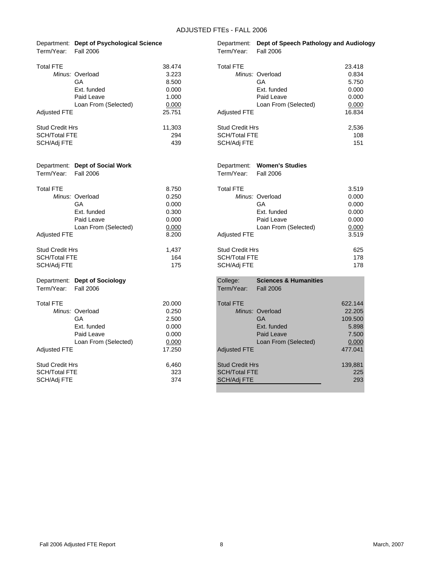|                        | Department: Dept of Psychological Science |        |                        | Department: Dept of Speech Pathology and Audiology |         |
|------------------------|-------------------------------------------|--------|------------------------|----------------------------------------------------|---------|
| Term/Year:             | <b>Fall 2006</b>                          |        | Term/Year:             | <b>Fall 2006</b>                                   |         |
| <b>Total FTE</b>       |                                           | 38.474 | <b>Total FTE</b>       |                                                    | 23.418  |
|                        | Minus: Overload                           | 3.223  |                        | Minus: Overload                                    | 0.834   |
|                        | GA                                        | 8.500  |                        | GA                                                 | 5.750   |
|                        | Ext. funded                               | 0.000  |                        | Ext. funded                                        | 0.000   |
|                        | Paid Leave                                | 1.000  |                        | Paid Leave                                         | 0.000   |
|                        | Loan From (Selected)                      | 0.000  |                        | Loan From (Selected)                               | 0.000   |
| <b>Adjusted FTE</b>    |                                           | 25.751 | <b>Adjusted FTE</b>    |                                                    | 16.834  |
| <b>Stud Credit Hrs</b> |                                           | 11,303 | <b>Stud Credit Hrs</b> |                                                    | 2,536   |
| <b>SCH/Total FTE</b>   |                                           | 294    | <b>SCH/Total FTE</b>   |                                                    | 108     |
| SCH/Adj FTE            |                                           | 439    | SCH/Adj FTE            |                                                    | 151     |
|                        | Department: Dept of Social Work           |        | Department:            | <b>Women's Studies</b>                             |         |
| Term/Year:             | <b>Fall 2006</b>                          |        | Term/Year:             | <b>Fall 2006</b>                                   |         |
| <b>Total FTE</b>       |                                           | 8.750  | <b>Total FTE</b>       |                                                    | 3.519   |
|                        | Minus: Overload                           | 0.250  |                        | Minus: Overload                                    | 0.000   |
|                        | GA                                        | 0.000  |                        | GA                                                 | 0.000   |
|                        | Ext. funded                               | 0.300  |                        | Ext. funded                                        | 0.000   |
|                        | Paid Leave                                | 0.000  |                        | Paid Leave                                         | 0.000   |
|                        | Loan From (Selected)                      | 0.000  |                        | Loan From (Selected)                               | 0.000   |
| <b>Adjusted FTE</b>    |                                           | 8.200  | <b>Adjusted FTE</b>    |                                                    | 3.519   |
| <b>Stud Credit Hrs</b> |                                           | 1,437  | <b>Stud Credit Hrs</b> |                                                    | 625     |
| <b>SCH/Total FTE</b>   |                                           | 164    | SCH/Total FTE          |                                                    | 178     |
| SCH/Adj FTE            |                                           | 175    | SCH/Adj FTE            |                                                    | 178     |
|                        | Department: Dept of Sociology             |        | College:               | <b>Sciences &amp; Humanities</b>                   |         |
| Term/Year:             | <b>Fall 2006</b>                          |        | Term/Year:             | <b>Fall 2006</b>                                   |         |
| <b>Total FTE</b>       |                                           | 20.000 | <b>Total FTE</b>       |                                                    | 622.144 |
|                        | Minus: Overload                           | 0.250  |                        | Minus: Overload                                    | 22.205  |
|                        | GA                                        | 2.500  |                        | <b>GA</b>                                          | 109.500 |
|                        | Ext. funded                               | 0.000  |                        | Ext. funded                                        | 5.898   |
|                        | Paid Leave                                | 0.000  |                        | Paid Leave                                         | 7.500   |
|                        | Loan From (Selected)                      | 0.000  |                        | Loan From (Selected)                               | 0.000   |
| <b>Adjusted FTE</b>    |                                           | 17.250 | <b>Adjusted FTE</b>    |                                                    | 477.041 |
| <b>Stud Credit Hrs</b> |                                           | 6,460  | <b>Stud Credit Hrs</b> |                                                    | 139,881 |
| <b>SCH/Total FTE</b>   |                                           | 323    | <b>SCH/Total FTE</b>   |                                                    | 225     |
| SCH/Adj FTE            |                                           | 374    | SCH/Adj FTE            |                                                    | 293     |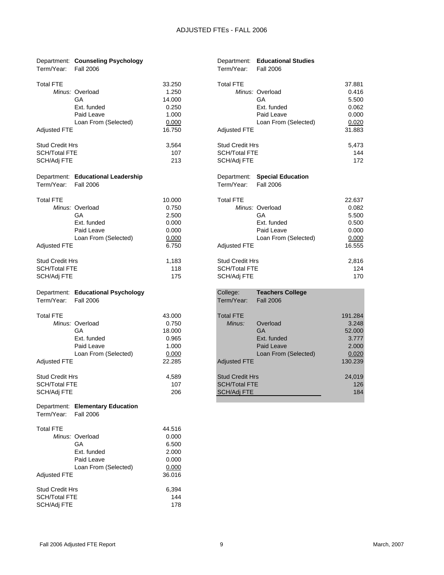| Term/Year:                          | Department: Counseling Psychology<br><b>Fall 2006</b> |            | Term/Year:                   | Department: Educational Studies<br><b>Fall 2006</b> |                  |
|-------------------------------------|-------------------------------------------------------|------------|------------------------------|-----------------------------------------------------|------------------|
| <b>Total FTE</b>                    |                                                       | 33.250     | <b>Total FTE</b>             |                                                     | 37.881           |
|                                     | Minus: Overload                                       | 1.250      |                              | Minus: Overload                                     | 0.416            |
|                                     | GA                                                    | 14.000     |                              | GA                                                  | 5.500            |
|                                     | Ext. funded                                           | 0.250      |                              | Ext. funded                                         | 0.062            |
|                                     | Paid Leave                                            | 1.000      |                              | Paid Leave                                          | 0.000            |
|                                     | Loan From (Selected)                                  | 0.000      |                              | Loan From (Selected)                                | 0.020            |
| <b>Adjusted FTE</b>                 |                                                       | 16.750     | <b>Adjusted FTE</b>          |                                                     | 31.883           |
| Stud Credit Hrs                     |                                                       | 3,564      | <b>Stud Credit Hrs</b>       |                                                     | 5,473            |
| SCH/Total FTE                       |                                                       | 107        | <b>SCH/Total FTE</b>         |                                                     | 144              |
| SCH/Adj FTE                         |                                                       | 213        | SCH/Adj FTE                  |                                                     | 172              |
|                                     | Department: Educational Leadership                    |            | Department:                  | <b>Special Education</b>                            |                  |
| Term/Year:                          | <b>Fall 2006</b>                                      |            | Term/Year:                   | <b>Fall 2006</b>                                    |                  |
| <b>Total FTE</b>                    |                                                       | 10.000     | <b>Total FTE</b>             |                                                     | 22.637           |
|                                     | Minus: Overload                                       | 0.750      |                              | Minus: Overload                                     | 0.082            |
|                                     | GА                                                    | 2.500      |                              | GA                                                  | 5.500            |
|                                     | Ext. funded                                           | 0.000      |                              | Ext. funded                                         | 0.500            |
|                                     | Paid Leave                                            | 0.000      |                              | Paid Leave                                          | 0.000            |
|                                     | Loan From (Selected)                                  | 0.000      |                              | Loan From (Selected)                                | 0.000            |
| Adjusted FTE                        |                                                       | 6.750      | <b>Adjusted FTE</b>          |                                                     | 16.555           |
| Stud Credit Hrs                     |                                                       | 1,183      | <b>Stud Credit Hrs</b>       |                                                     | 2,816            |
| <b>SCH/Total FTE</b>                |                                                       | 118        | <b>SCH/Total FTE</b>         |                                                     | 124              |
| SCH/Adj FTE                         |                                                       | 175        | SCH/Adj FTE                  |                                                     | 170              |
|                                     |                                                       |            |                              |                                                     |                  |
|                                     | Department: Educational Psychology                    |            | College:                     | <b>Teachers College</b>                             |                  |
| Term/Year:                          | <b>Fall 2006</b>                                      |            | Term/Year:                   | <b>Fall 2006</b>                                    |                  |
| <b>Total FTE</b>                    |                                                       | 43.000     | <b>Total FTE</b>             |                                                     | 191.284          |
|                                     | Minus: Overload                                       | 0.750      | Minus:                       | Overload                                            | 3.248            |
|                                     | GA                                                    | 18.000     |                              | <b>GA</b>                                           | 52.000           |
|                                     | Ext. funded                                           | 0.965      |                              | Ext. funded                                         | 3.777            |
|                                     | Paid Leave                                            | 1.000      |                              | Paid Leave                                          | 2.000            |
|                                     | Loan From (Selected)                                  | 0.000      |                              | Loan From (Selected)                                |                  |
| <b>Adjusted FTE</b>                 |                                                       | 22.285     | <b>Adjusted FTE</b>          |                                                     | 0.020<br>130.239 |
|                                     |                                                       |            |                              |                                                     |                  |
| Stud Credit Hrs                     |                                                       | 4,589      | <b>Stud Credit Hrs</b>       |                                                     | 24,019           |
| SCH/Total FTE<br>SCH/Adj FTE        |                                                       | 107<br>206 | SCH/Total FTE<br>SCH/Adj FTE |                                                     | 126<br>184       |
|                                     | Department: Elementary Education                      |            |                              |                                                     |                  |
| Term/Year:                          | <b>Fall 2006</b>                                      |            |                              |                                                     |                  |
| <b>Total FTE</b>                    |                                                       | 44.516     |                              |                                                     |                  |
|                                     | Minus: Overload                                       | 0.000      |                              |                                                     |                  |
|                                     | GA                                                    | 6.500      |                              |                                                     |                  |
|                                     | Ext. funded                                           | 2.000      |                              |                                                     |                  |
|                                     | Paid Leave                                            | 0.000      |                              |                                                     |                  |
|                                     | Loan From (Selected)                                  | 0.000      |                              |                                                     |                  |
| <b>Adjusted FTE</b>                 |                                                       | 36.016     |                              |                                                     |                  |
| <b>Stud Credit Hrs</b>              |                                                       | 6,394      |                              |                                                     |                  |
| <b>SCH/Total FTE</b><br>SCH/Adj FTE |                                                       | 144<br>178 |                              |                                                     |                  |

SCH/Adj FTE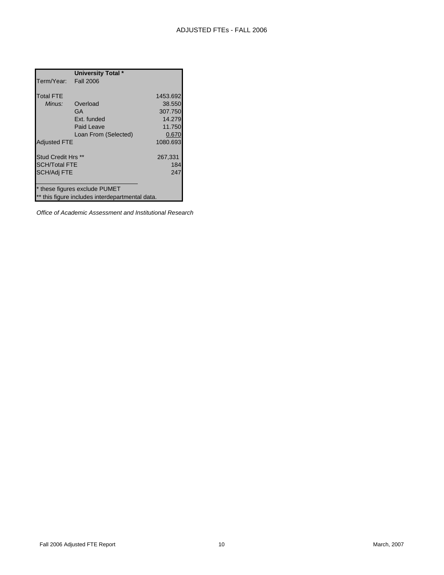|                           | University Total *                              |          |
|---------------------------|-------------------------------------------------|----------|
| Term/Year: Fall 2006      |                                                 |          |
|                           |                                                 |          |
| <b>Total FTE</b>          |                                                 | 1453.692 |
| Minus:                    | Overload                                        | 38.550   |
|                           | GA                                              | 307.750  |
|                           | Ext. funded                                     | 14.279   |
|                           | Paid Leave                                      | 11.750   |
|                           | Loan From (Selected)                            | 0.670    |
| <b>Adjusted FTE</b>       |                                                 | 1080.693 |
|                           |                                                 |          |
| <b>Stud Credit Hrs **</b> |                                                 | 267,331  |
| SCH/Total FTE             |                                                 | 184      |
| <b>SCH/Adj FTE</b>        |                                                 | 247      |
|                           |                                                 |          |
|                           | * these figures exclude PUMET                   |          |
|                           | ** this figure includes interdepartmental data. |          |

*Office of Academic Assessment and Institutional Research*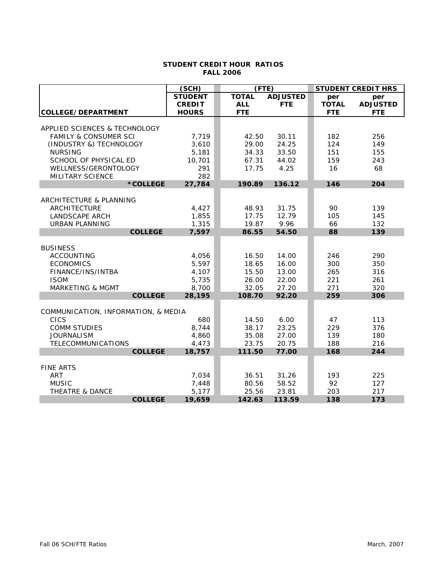#### **STUDENT CREDIT HOUR RATIOS FALL 2006**

|                                            | (SCH)           | (FTE)          |                 |              | <b>STUDENT CREDIT HRS</b> |
|--------------------------------------------|-----------------|----------------|-----------------|--------------|---------------------------|
|                                            | <b>STUDENT</b>  | <b>TOTAL</b>   | <b>ADJUSTED</b> | per          | per                       |
|                                            | <b>CREDIT</b>   | <b>ALL</b>     | <b>FTE</b>      | <b>TOTAL</b> | <b>ADJUSTED</b>           |
| COLLEGE/DEPARTMENT                         | <b>HOURS</b>    | <b>FTE</b>     |                 | <b>FTE</b>   | <b>FTE</b>                |
| APPLIED SCIENCES & TECHNOLOGY              |                 |                |                 |              |                           |
| <b>FAMILY &amp; CONSUMER SCI</b>           | 7,719           | 42.50          | 30.11           | 182          | 256                       |
| (INDUSTRY &) TECHNOLOGY                    | 3,610           | 29.00          | 24.25           | 124          | 149                       |
| <b>NURSING</b>                             | 5,181           | 34.33          | 33.50           | 151          | 155                       |
| SCHOOL OF PHYSICAL ED                      | 10,701          | 67.31          | 44.02           | 159          | 243                       |
| WELLNESS/GERONTOLOGY                       | 291             | 17.75          | 4.25            | 16           | 68                        |
| MILITARY SCIENCE                           | 282             |                |                 |              |                           |
| *COLLEGE                                   | 27,784          | 190.89         | 136.12          | 146          | 204                       |
|                                            |                 |                |                 |              |                           |
| ARCHITECTURE & PLANNING                    |                 |                |                 |              |                           |
| ARCHITECTURE                               | 4,427           | 48.93          | 31.75           | 90           | 139                       |
| <b>LANDSCAPE ARCH</b>                      | 1,855           | 17.75          | 12.79           | 105          | 145                       |
| <b>URBAN PLANNING</b>                      | 1,315           | 19.87          | 9.96            | 66           | 132                       |
| <b>COLLEGE</b>                             | 7,597           | 86.55          | 54.50           | 88           | 139                       |
|                                            |                 |                |                 |              |                           |
| <b>BUSINESS</b>                            |                 |                |                 |              |                           |
| <b>ACCOUNTING</b>                          | 4,056           | 16.50          | 14.00           | 246          | 290                       |
| <b>ECONOMICS</b>                           | 5,597           | 18.65          | 16.00           | 300          | 350                       |
| FINANCE/INS/INTBA                          | 4,107           | 15.50          | 13.00           | 265          | 316                       |
| <b>ISOM</b><br><b>MARKETING &amp; MGMT</b> | 5,735           | 26.00<br>32.05 | 22.00<br>27.20  | 221<br>271   | 261<br>320                |
| <b>COLLEGE</b>                             | 8,700<br>28,195 | 108.70         | 92.20           | 259          | 306                       |
|                                            |                 |                |                 |              |                           |
| COMMUNICATION, INFORMATION, & MEDIA        |                 |                |                 |              |                           |
| <b>CICS</b>                                | 680             | 14.50          | 6.00            | 47           | 113                       |
| <b>COMM STUDIES</b>                        | 8,744           | 38.17          | 23.25           | 229          | 376                       |
| <b>JOURNALISM</b>                          | 4,860           | 35.08          | 27.00           | 139          | 180                       |
| <b>TELECOMMUNICATIONS</b>                  | 4,473           | 23.75          | 20.75           | 188          | 216                       |
| <b>COLLEGE</b>                             | 18,757          | 111.50         | 77.00           | 168          | 244                       |
|                                            |                 |                |                 |              |                           |
| <b>FINE ARTS</b>                           |                 |                |                 |              |                           |
| <b>ART</b>                                 | 7,034           | 36.51          | 31.26           | 193          | 225                       |
| <b>MUSIC</b>                               | 7,448           | 80.56          | 58.52           | 92           | 127                       |
| <b>THEATRE &amp; DANCE</b>                 | 5,177           | 25.56          | 23.81           | 203          | 217                       |
| <b>COLLEGE</b>                             | 19,659          | 142.63         | 113.59          | 138          | 173                       |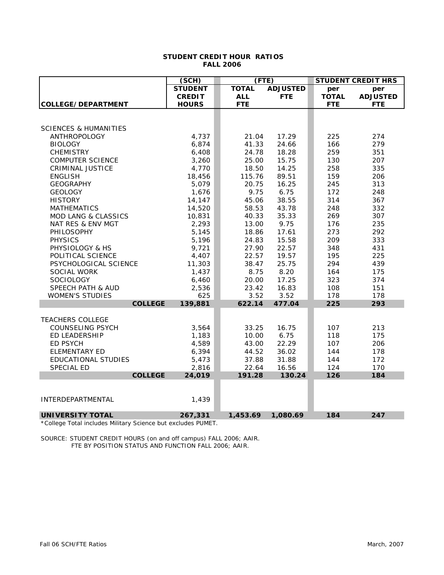#### **STUDENT CREDIT HOUR RATIOS FALL 2006**

|                                  | (SCH)          | (FTE)        |                 |              | <b>STUDENT CREDIT HRS</b> |
|----------------------------------|----------------|--------------|-----------------|--------------|---------------------------|
|                                  | <b>STUDENT</b> | <b>TOTAL</b> | <b>ADJUSTED</b> | per          | per                       |
|                                  | <b>CREDIT</b>  | <b>ALL</b>   | <b>FTE</b>      | <b>TOTAL</b> | <b>ADJUSTED</b>           |
| COLLEGE/DEPARTMENT               | <b>HOURS</b>   | <b>FTE</b>   |                 | <b>FTE</b>   | <b>FTE</b>                |
|                                  |                |              |                 |              |                           |
|                                  |                |              |                 |              |                           |
| <b>SCIENCES &amp; HUMANITIES</b> |                |              |                 |              |                           |
| <b>ANTHROPOLOGY</b>              | 4,737          | 21.04        | 17.29           | 225          | 274                       |
| <b>BIOLOGY</b>                   | 6,874          | 41.33        | 24.66           | 166          | 279                       |
| <b>CHEMISTRY</b>                 | 6,408          | 24.78        | 18.28           | 259          | 351                       |
| <b>COMPUTER SCIENCE</b>          | 3,260          | 25.00        | 15.75           | 130          | 207                       |
| <b>CRIMINAL JUSTICE</b>          | 4,770          | 18.50        | 14.25           | 258          | 335                       |
| <b>ENGLISH</b>                   | 18,456         | 115.76       | 89.51           | 159          | 206                       |
| <b>GEOGRAPHY</b>                 | 5,079          | 20.75        | 16.25           | 245          | 313                       |
| <b>GEOLOGY</b>                   | 1,676          | 9.75         | 6.75            | 172          | 248                       |
| <b>HISTORY</b>                   | 14,147         | 45.06        | 38.55           | 314          | 367                       |
| <b>MATHEMATICS</b>               | 14,520         | 58.53        | 43.78           | 248          | 332                       |
| <b>MOD LANG &amp; CLASSICS</b>   | 10,831         | 40.33        | 35.33           | 269          | 307                       |
| NAT RES & ENV MGT                | 2,293          | 13.00        | 9.75            | 176          | 235                       |
| <b>PHILOSOPHY</b>                | 5,145          | 18.86        | 17.61           | 273          | 292                       |
| <b>PHYSICS</b>                   | 5,196          | 24.83        | 15.58           | 209          | 333                       |
| PHYSIOLOGY & HS                  | 9,721          | 27.90        | 22.57           | 348          | 431                       |
| POLITICAL SCIENCE                | 4,407          | 22.57        | 19.57           | 195          | 225                       |
| PSYCHOLOGICAL SCIENCE            | 11,303         | 38.47        | 25.75           | 294          | 439                       |
| <b>SOCIAL WORK</b>               | 1,437          | 8.75         | 8.20            | 164          | 175                       |
| <b>SOCIOLOGY</b>                 | 6,460          | 20.00        | 17.25           | 323          | 374                       |
| <b>SPEECH PATH &amp; AUD</b>     | 2,536          | 23.42        | 16.83           | 108          | 151                       |
| <b>WOMEN'S STUDIES</b>           | 625            | 3.52         | 3.52            | 178          | 178                       |
| <b>COLLEGE</b>                   | 139,881        | 622.14       | 477.04          | 225          | 293                       |
|                                  |                |              |                 |              |                           |
| <b>TEACHERS COLLEGE</b>          |                |              |                 |              |                           |
| <b>COUNSELING PSYCH</b>          | 3,564          | 33.25        | 16.75           | 107          | 213                       |
| <b>ED LEADERSHIP</b>             | 1,183          | 10.00        | 6.75            | 118          | 175                       |
| <b>ED PSYCH</b>                  | 4,589          | 43.00        | 22.29           | 107          | 206                       |
| <b>ELEMENTARY ED</b>             | 6,394          | 44.52        | 36.02           | 144          | 178                       |
| <b>EDUCATIONAL STUDIES</b>       | 5,473          | 37.88        | 31.88           | 144          | 172                       |
| SPECIAL ED                       | 2,816          | 22.64        | 16.56           | 124          | 170                       |
| <b>COLLEGE</b>                   | 24,019         | 191.28       | 130.24          | 126          | 184                       |
|                                  |                |              |                 |              |                           |
| INTERDEPARTMENTAL                | 1,439          |              |                 |              |                           |
|                                  |                |              |                 |              |                           |
| <b>UNIVERSITY TOTAL</b>          | 267,331        | 1,453.69     | 1,080.69        | 184          | 247                       |

\*College Total includes Military Science but excludes PUMET.

SOURCE: STUDENT CREDIT HOURS (on and off campus) FALL 2006; AAIR. FTE BY POSITION STATUS AND FUNCTION FALL 2006; AAIR.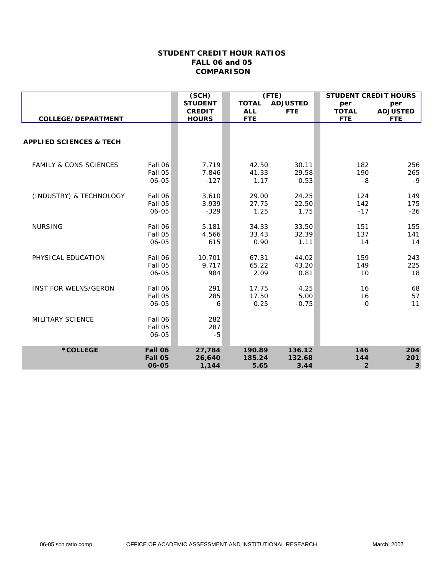|                                    |                             | (SCH)                    | (TTE)                  |                        | <b>STUDENT CREDIT HOURS</b> |                    |
|------------------------------------|-----------------------------|--------------------------|------------------------|------------------------|-----------------------------|--------------------|
|                                    |                             | <b>STUDENT</b>           | <b>TOTAL</b>           | <b>ADJUSTED</b>        | per                         | per                |
|                                    |                             | <b>CREDIT</b>            | <b>ALL</b>             | <b>FTE</b>             | <b>TOTAL</b>                | <b>ADJUSTED</b>    |
| COLLEGE/DEPARTMENT                 |                             | <b>HOURS</b>             | <b>FTE</b>             |                        | <b>FTE</b>                  | <b>FTE</b>         |
| <b>APPLIED SCIENCES &amp; TECH</b> |                             |                          |                        |                        |                             |                    |
|                                    |                             |                          |                        |                        |                             |                    |
| <b>FAMILY &amp; CONS SCIENCES</b>  | Fall 06<br>Fall 05<br>06-05 | 7,719<br>7,846<br>$-127$ | 42.50<br>41.33<br>1.17 | 30.11<br>29.58<br>0.53 | 182<br>190<br>-8            | 256<br>265<br>$-9$ |
|                                    |                             |                          |                        |                        |                             |                    |
| (INDUSTRY) & TECHNOLOGY            | Fall 06                     | 3,610                    | 29.00                  | 24.25                  | 124                         | 149                |
|                                    | Fall 05                     | 3,939                    | 27.75                  | 22.50                  | 142                         | 175                |
|                                    | 06-05                       | $-329$                   | 1.25                   | 1.75                   | $-17$                       | $-26$              |
| <b>NURSING</b>                     | Fall 06                     | 5,181                    | 34.33                  | 33.50                  | 151                         | 155                |
|                                    | Fall 05                     | 4,566                    | 33.43                  | 32.39                  | 137                         | 141                |
|                                    | 06-05                       | 615                      | 0.90                   | 1.11                   | 14                          | 14                 |
| PHYSICAL EDUCATION                 | Fall 06                     | 10,701                   | 67.31                  | 44.02                  | 159                         | 243                |
|                                    | Fall 05                     | 9,717                    | 65.22                  | 43.20                  | 149                         | 225                |
|                                    | 06-05                       | 984                      | 2.09                   | 0.81                   | 10                          | 18                 |
| <b>INST FOR WELNS/GERON</b>        | Fall 06                     | 291                      | 17.75                  | 4.25                   | 16                          | 68                 |
|                                    | Fall 05                     | 285                      | 17.50                  | 5.00                   | 16                          | 57                 |
|                                    | 06-05                       | 6                        | 0.25                   | $-0.75$                | $\mathbf 0$                 | 11                 |
| MILITARY SCIENCE                   | Fall 06<br>Fall 05<br>06-05 | 282<br>287<br>$-5$       |                        |                        |                             |                    |
| *COLLEGE                           | Fall 06                     | 27,784                   | 190.89                 | 136.12                 | 146                         | 204                |
|                                    | Fall 05<br>06-05            | 26,640<br>1,144          | 185.24<br>5.65         | 132.68<br>3.44         | 144<br>$\overline{2}$       | 201<br>3           |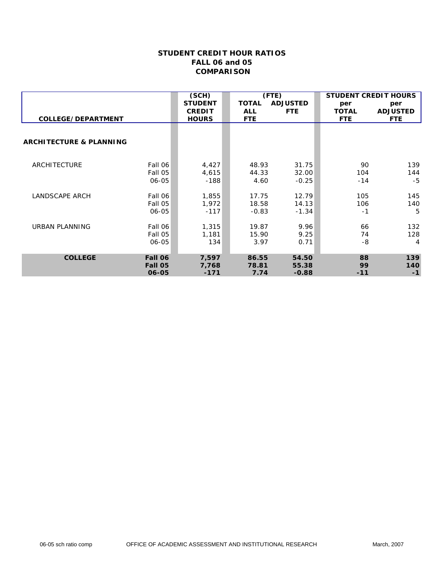|                                    |         | (SCH)          | (TTE)        |                 | <b>STUDENT CREDIT HOURS</b> |                 |
|------------------------------------|---------|----------------|--------------|-----------------|-----------------------------|-----------------|
|                                    |         | <b>STUDENT</b> | <b>TOTAL</b> | <b>ADJUSTED</b> | per                         | per             |
|                                    |         | <b>CREDIT</b>  | <b>ALL</b>   | <b>FTE</b>      | <b>TOTAL</b>                | <b>ADJUSTED</b> |
| <b>COLLEGE/DEPARTMENT</b>          |         | <b>HOURS</b>   | <b>FTE</b>   |                 | <b>FTE</b>                  | <b>FTE</b>      |
|                                    |         |                |              |                 |                             |                 |
| <b>ARCHITECTURE &amp; PLANNING</b> |         |                |              |                 |                             |                 |
|                                    |         |                |              |                 |                             |                 |
| ARCHITECTURE                       | Fall 06 | 4,427          | 48.93        | 31.75           | 90                          | 139             |
|                                    | Fall 05 | 4,615          | 44.33        | 32.00           | 104                         | 144             |
|                                    | 06-05   | $-188$         | 4.60         | $-0.25$         | $-14$                       | $-5$            |
| <b>LANDSCAPE ARCH</b>              | Fall 06 | 1,855          | 17.75        | 12.79           | 105                         | 145             |
|                                    | Fall 05 | 1,972          | 18.58        | 14.13           | 106                         | 140             |
|                                    | 06-05   | $-117$         | $-0.83$      | $-1.34$         | $-1$                        | 5               |
|                                    |         |                |              |                 |                             |                 |
| URBAN PLANNING                     | Fall 06 | 1,315          | 19.87        | 9.96            | 66                          | 132             |
|                                    | Fall 05 | 1,181          | 15.90        | 9.25            | 74                          | 128             |
|                                    | 06-05   | 134            | 3.97         | 0.71            | $-8$                        | 4               |
| <b>COLLEGE</b>                     | Fall 06 | 7,597          | 86.55        | 54.50           | 88                          | 139             |
|                                    | Fall 05 | 7,768          | 78.81        | 55.38           | 99                          | 140             |
|                                    | 06-05   | $-171$         | 7.74         | $-0.88$         | $-11$                       | $-1$            |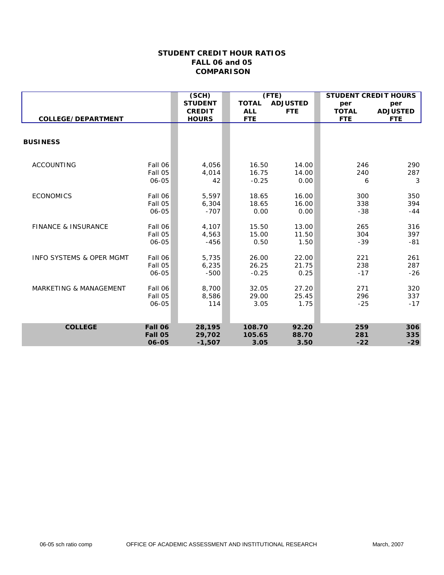|                                     |         | (SCH)          | (TTE)        |                 | <b>STUDENT CREDIT HOURS</b> |                 |
|-------------------------------------|---------|----------------|--------------|-----------------|-----------------------------|-----------------|
|                                     |         | <b>STUDENT</b> | <b>TOTAL</b> | <b>ADJUSTED</b> | per                         | per             |
|                                     |         | <b>CREDIT</b>  | <b>ALL</b>   | <b>FTE</b>      | <b>TOTAL</b>                | <b>ADJUSTED</b> |
| COLLEGE/DEPARTMENT                  |         | <b>HOURS</b>   | <b>FTE</b>   |                 | <b>FTE</b>                  | <b>FTE</b>      |
|                                     |         |                |              |                 |                             |                 |
| <b>BUSINESS</b>                     |         |                |              |                 |                             |                 |
|                                     |         |                |              |                 |                             |                 |
| <b>ACCOUNTING</b>                   | Fall 06 | 4,056          | 16.50        | 14.00           | 246                         | 290             |
|                                     | Fall 05 | 4,014          | 16.75        | 14.00           | 240                         | 287             |
|                                     | 06-05   | 42             | $-0.25$      | 0.00            | 6                           | 3               |
| <b>ECONOMICS</b>                    | Fall 06 | 5,597          | 18.65        | 16.00           | 300                         | 350             |
|                                     | Fall 05 | 6,304          | 18.65        | 16.00           | 338                         | 394             |
|                                     | 06-05   | $-707$         | 0.00         | 0.00            | $-38$                       | $-44$           |
| <b>FINANCE &amp; INSURANCE</b>      | Fall 06 | 4,107          | 15.50        | 13.00           | 265                         | 316             |
|                                     | Fall 05 | 4,563          | 15.00        | 11.50           | 304                         | 397             |
|                                     | 06-05   | $-456$         | 0.50         | 1.50            | $-39$                       | $-81$           |
| <b>INFO SYSTEMS &amp; OPER MGMT</b> | Fall 06 | 5,735          | 26.00        | 22.00           | 221                         | 261             |
|                                     | Fall 05 | 6,235          | 26.25        | 21.75           | 238                         | 287             |
|                                     | 06-05   | $-500$         | $-0.25$      | 0.25            | $-17$                       | $-26$           |
| <b>MARKETING &amp; MANAGEMENT</b>   | Fall 06 | 8,700          | 32.05        | 27.20           | 271                         | 320             |
|                                     | Fall 05 | 8.586          | 29.00        | 25.45           | 296                         | 337             |
|                                     | 06-05   | 114            | 3.05         | 1.75            | $-25$                       | $-17$           |
|                                     |         |                |              |                 |                             |                 |
| <b>COLLEGE</b>                      | Fall 06 | 28,195         | 108.70       | 92.20           | 259                         | 306             |
|                                     | Fall 05 | 29,702         | 105.65       | 88.70           | 281                         | 335             |
|                                     | 06-05   | $-1,507$       | 3.05         | 3.50            | $-22$                       | $-29$           |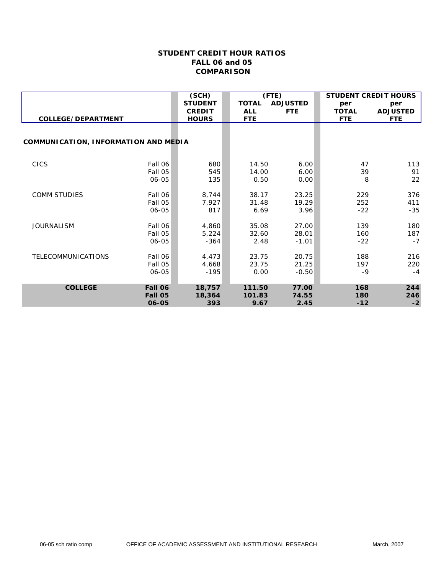|                                      |         | (SCH)          |              | (TTE)           | <b>STUDENT CREDIT HOURS</b> |                 |
|--------------------------------------|---------|----------------|--------------|-----------------|-----------------------------|-----------------|
|                                      |         | <b>STUDENT</b> | <b>TOTAL</b> | <b>ADJUSTED</b> | per                         | per             |
|                                      |         | <b>CREDIT</b>  | <b>ALL</b>   | <b>FTE</b>      | <b>TOTAL</b>                | <b>ADJUSTED</b> |
| COLLEGE/DEPARTMENT                   |         | <b>HOURS</b>   | <b>FTE</b>   |                 | <b>FTE</b>                  | <b>FTE</b>      |
|                                      |         |                |              |                 |                             |                 |
| COMMUNICATION, INFORMATION AND MEDIA |         |                |              |                 |                             |                 |
|                                      |         |                |              |                 |                             |                 |
| <b>CICS</b>                          | Fall 06 | 680            | 14.50        | 6.00            | 47                          | 113             |
|                                      | Fall 05 | 545            | 14.00        | 6.00            | 39                          | 91              |
|                                      | 06-05   | 135            | 0.50         | 0.00            | 8                           | 22              |
|                                      |         |                |              |                 |                             |                 |
| <b>COMM STUDIES</b>                  | Fall 06 | 8,744          | 38.17        | 23.25           | 229                         | 376             |
|                                      | Fall 05 | 7,927          | 31.48        | 19.29           | 252                         | 411             |
|                                      | 06-05   | 817            | 6.69         | 3.96            | $-22$                       | $-35$           |
| <b>JOURNALISM</b>                    | Fall 06 | 4,860          | 35.08        | 27.00           | 139                         | 180             |
|                                      | Fall 05 | 5,224          | 32.60        | 28.01           | 160                         | 187             |
|                                      | 06-05   | $-364$         | 2.48         | $-1.01$         | $-22$                       | $-7$            |
|                                      |         |                |              |                 |                             |                 |
| TELECOMMUNICATIONS                   | Fall 06 | 4,473          | 23.75        | 20.75           | 188                         | 216             |
|                                      | Fall 05 | 4,668          | 23.75        | 21.25           | 197                         | 220             |
|                                      | 06-05   | $-195$         | 0.00         | $-0.50$         | $-9$                        | $-4$            |
| <b>COLLEGE</b>                       | Fall 06 | 18,757         | 111.50       | 77.00           | 168                         | 244             |
|                                      | Fall 05 | 18,364         | 101.83       | 74.55           | 180                         | 246             |
|                                      | 06-05   | 393            | 9.67         | 2.45            | $-12$                       | $-2$            |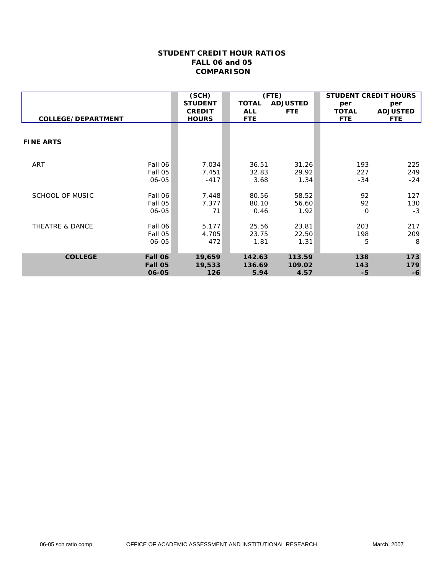|                        |         | (SCH)          |              | (TTE)           | <b>STUDENT CREDIT HOURS</b> |                 |
|------------------------|---------|----------------|--------------|-----------------|-----------------------------|-----------------|
|                        |         | <b>STUDENT</b> | <b>TOTAL</b> | <b>ADJUSTED</b> | per                         | per             |
|                        |         | <b>CREDIT</b>  | <b>ALL</b>   | <b>FTE</b>      | <b>TOTAL</b>                | <b>ADJUSTED</b> |
| COLLEGE/DEPARTMENT     |         | <b>HOURS</b>   | <b>FTE</b>   |                 | <b>FTE</b>                  | <b>FTE</b>      |
|                        |         |                |              |                 |                             |                 |
| <b>FINE ARTS</b>       |         |                |              |                 |                             |                 |
|                        |         |                |              |                 |                             |                 |
| ART                    | Fall 06 | 7,034          | 36.51        | 31.26           | 193                         | 225             |
|                        | Fall 05 | 7,451          | 32.83        | 29.92           | 227                         | 249             |
|                        | 06-05   | -417           | 3.68         | 1.34            | $-34$                       | $-24$           |
| <b>SCHOOL OF MUSIC</b> | Fall 06 | 7,448          | 80.56        | 58.52           | 92                          | 127             |
|                        | Fall 05 | 7,377          | 80.10        | 56.60           | 92                          | 130             |
|                        | 06-05   | 71             | 0.46         | 1.92            | 0                           | $-3$            |
| THEATRE & DANCE        | Fall 06 | 5,177          | 25.56        | 23.81           | 203                         | 217             |
|                        | Fall 05 | 4,705          | 23.75        | 22.50           | 198                         | 209             |
|                        | 06-05   | 472            | 1.81         | 1.31            | 5                           | 8               |
| <b>COLLEGE</b>         | Fall 06 | 19,659         | 142.63       | 113.59          | 138                         | 173             |
|                        | Fall 05 | 19,533         | 136.69       | 109.02          | 143                         | 179             |
|                        | 06-05   | 126            | 5.94         | 4.57            | -5                          | $-6$            |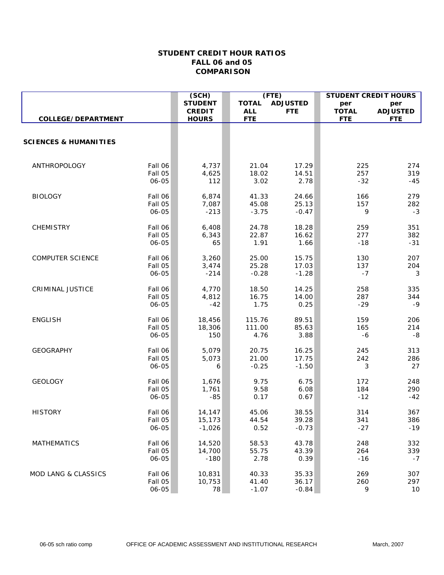|                                  |                    | (SCH)            | (TTE)          |                 | <b>STUDENT CREDIT HOURS</b> |                 |
|----------------------------------|--------------------|------------------|----------------|-----------------|-----------------------------|-----------------|
|                                  |                    | <b>STUDENT</b>   | <b>TOTAL</b>   | <b>ADJUSTED</b> | per                         | per             |
|                                  |                    | <b>CREDIT</b>    | <b>ALL</b>     | <b>FTE</b>      | <b>TOTAL</b>                | <b>ADJUSTED</b> |
| COLLEGE/DEPARTMENT               |                    | <b>HOURS</b>     | <b>FTE</b>     |                 | <b>FTE</b>                  | <b>FTE</b>      |
|                                  |                    |                  |                |                 |                             |                 |
| <b>SCIENCES &amp; HUMANITIES</b> |                    |                  |                |                 |                             |                 |
|                                  |                    |                  |                |                 |                             |                 |
|                                  |                    |                  |                |                 |                             |                 |
| ANTHROPOLOGY                     | Fall 06            | 4,737            | 21.04          | 17.29           | 225                         | 274             |
|                                  | Fall 05            | 4,625            | 18.02          | 14.51           | 257                         | 319             |
|                                  | 06-05              | 112              | 3.02           | 2.78            | $-32$                       | $-45$           |
| <b>BIOLOGY</b>                   | Fall 06            | 6,874            | 41.33          | 24.66           | 166                         | 279             |
|                                  | Fall 05            | 7,087            | 45.08          | 25.13           | 157                         | 282             |
|                                  | 06-05              | $-213$           | $-3.75$        | $-0.47$         | 9                           | $-3$            |
| <b>CHEMISTRY</b>                 | Fall 06            | 6,408            | 24.78          | 18.28           | 259                         | 351             |
|                                  | Fall 05            | 6,343            | 22.87          | 16.62           | 277                         | 382             |
|                                  | 06-05              | 65               | 1.91           | 1.66            | $-18$                       | $-31$           |
| <b>COMPUTER SCIENCE</b>          | Fall 06            | 3,260            | 25.00          | 15.75           | 130                         | 207             |
|                                  | Fall 05            | 3,474            | 25.28          | 17.03           | 137                         | 204             |
|                                  | 06-05              | $-214$           | $-0.28$        | $-1.28$         | $-7$                        | 3               |
|                                  |                    |                  |                |                 |                             |                 |
| <b>CRIMINAL JUSTICE</b>          | Fall 06            | 4,770            | 18.50          | 14.25           | 258                         | 335             |
|                                  | Fall 05            | 4,812            | 16.75          | 14.00           | 287                         | 344             |
|                                  | 06-05              | $-42$            | 1.75           | 0.25            | $-29$                       | $-9$            |
| <b>ENGLISH</b>                   | Fall 06            | 18,456           | 115.76         | 89.51           | 159                         | 206             |
|                                  | Fall 05            | 18,306           | 111.00         | 85.63           | 165                         | 214             |
|                                  | 06-05              | 150              | 4.76           | 3.88            | -6                          | -8              |
| <b>GEOGRAPHY</b>                 | Fall 06            | 5,079            | 20.75          | 16.25           | 245                         | 313             |
|                                  | Fall 05            | 5,073            | 21.00          | 17.75           | 242                         | 286             |
|                                  | 06-05              | 6                | $-0.25$        | $-1.50$         | 3                           | 27              |
| <b>GEOLOGY</b>                   | Fall 06            | 1,676            | 9.75           | 6.75            | 172                         | 248             |
|                                  | Fall 05            | 1,761            | 9.58           | 6.08            | 184                         | 290             |
|                                  | 06-05              | $-85$            | 0.17           | 0.67            | $-12$                       | $-42$           |
| <b>HISTORY</b>                   | Fall 06            | 14,147           | 45.06          | 38.55           | 314                         | 367             |
|                                  | Fall 05            | 15,173           | 44.54          | 39.28           | 341                         | 386             |
|                                  | 06-05              | $-1,026$         | 0.52           | $-0.73$         | $-27$                       | $-19$           |
| <b>MATHEMATICS</b>               |                    |                  |                |                 | 248                         |                 |
|                                  | Fall 06<br>Fall 05 | 14,520<br>14,700 | 58.53<br>55.75 | 43.78<br>43.39  | 264                         | 332<br>339      |
|                                  | 06-05              | $-180$           | 2.78           | 0.39            | $-16$                       | $-7$            |
|                                  |                    |                  |                |                 |                             |                 |
| <b>MOD LANG &amp; CLASSICS</b>   | Fall 06            | 10,831           | 40.33          | 35.33           | 269                         | 307             |
|                                  | Fall 05            | 10,753           | 41.40          | 36.17           | 260                         | 297             |
|                                  | 06-05              | 78               | $-1.07$        | $-0.84$         | 9                           | 10              |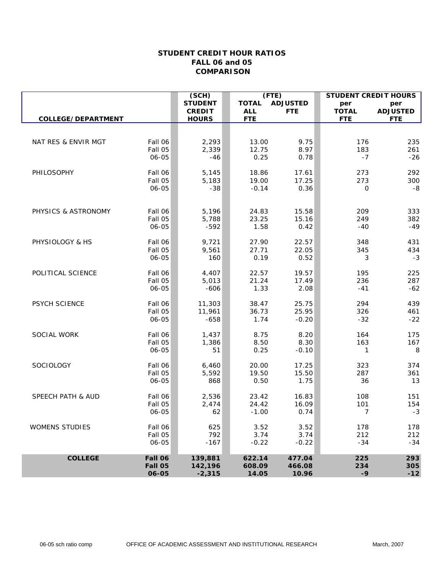|                       |                  | (SCH)           | (TTE)         |                 | <b>STUDENT CREDIT HOURS</b> |                 |
|-----------------------|------------------|-----------------|---------------|-----------------|-----------------------------|-----------------|
|                       |                  | <b>STUDENT</b>  | <b>TOTAL</b>  | <b>ADJUSTED</b> | per                         | per             |
|                       |                  | <b>CREDIT</b>   | <b>ALL</b>    | <b>FTE</b>      | <b>TOTAL</b>                | <b>ADJUSTED</b> |
| COLLEGE/DEPARTMENT    |                  | <b>HOURS</b>    | <b>FTE</b>    |                 | <b>FTE</b>                  | <b>FTE</b>      |
|                       |                  |                 |               |                 |                             |                 |
| NAT RES & ENVIR MGT   | Fall 06          | 2,293           | 13.00         | 9.75            | 176                         | 235             |
|                       | Fall 05          | 2,339           | 12.75         | 8.97            | 183                         | 261             |
|                       | 06-05            | $-46$           | 0.25          | 0.78            | $-7$                        | $-26$           |
|                       |                  |                 |               |                 |                             |                 |
| PHILOSOPHY            | Fall 06          | 5,145           | 18.86         | 17.61           | 273                         | 292             |
|                       | Fall 05          | 5,183           | 19.00         | 17.25           | 273                         | 300             |
|                       | 06-05            | $-38$           | $-0.14$       | 0.36            | 0                           | $-8$            |
|                       |                  |                 |               |                 |                             |                 |
| PHYSICS & ASTRONOMY   | Fall 06          | 5,196           | 24.83         | 15.58           | 209                         | 333             |
|                       | Fall 05          | 5,788           | 23.25         | 15.16           | 249                         | 382             |
|                       | 06-05            | $-592$          | 1.58          | 0.42            | $-40$                       | $-49$           |
|                       |                  |                 |               |                 |                             |                 |
| PHYSIOLOGY & HS       | Fall 06          | 9,721           | 27.90         | 22.57           | 348                         | 431             |
|                       | Fall 05          | 9,561           | 27.71         | 22.05           | 345                         | 434             |
|                       | 06-05            | 160             | 0.19          | 0.52            | 3                           | $-3$            |
|                       |                  |                 |               |                 |                             |                 |
| POLITICAL SCIENCE     | Fall 06          | 4,407           | 22.57         | 19.57           | 195                         | 225             |
|                       | Fall 05<br>06-05 | 5,013<br>$-606$ | 21.24<br>1.33 | 17.49           | 236<br>$-41$                | 287<br>$-62$    |
|                       |                  |                 |               | 2.08            |                             |                 |
| PSYCH SCIENCE         | Fall 06          | 11,303          | 38.47         | 25.75           | 294                         | 439             |
|                       | Fall 05          | 11,961          | 36.73         | 25.95           | 326                         | 461             |
|                       | 06-05            | $-658$          | 1.74          | $-0.20$         | $-32$                       | $-22$           |
|                       |                  |                 |               |                 |                             |                 |
| SOCIAL WORK           | Fall 06          | 1,437           | 8.75          | 8.20            | 164                         | 175             |
|                       | Fall 05          | 1,386           | 8.50          | 8.30            | 163                         | 167             |
|                       | 06-05            | 51              | 0.25          | $-0.10$         | 1                           | 8               |
| SOCIOLOGY             | Fall 06          | 6,460           | 20.00         | 17.25           | 323                         | 374             |
|                       | Fall 05          | 5,592           | 19.50         | 15.50           | 287                         | 361             |
|                       | 06-05            | 868             | 0.50          | 1.75            | 36                          | 13              |
|                       |                  |                 |               |                 |                             |                 |
| SPEECH PATH & AUD     | Fall 06          | 2,536           | 23.42         | 16.83           | 108                         | 151             |
|                       | Fall 05          | 2,474           | 24.42         | 16.09           | 101                         | 154             |
|                       | 06-05            | 62              | $-1.00$       | 0.74            | $\overline{7}$              | $-3$            |
| <b>WOMENS STUDIES</b> | Fall 06          | 625             | 3.52          | 3.52            | 178                         |                 |
|                       | Fall 05          | 792             | 3.74          | 3.74            | 212                         | 178<br>212      |
|                       | 06-05            | $-167$          | $-0.22$       | $-0.22$         | $-34$                       | $-34$           |
|                       |                  |                 |               |                 |                             |                 |
| <b>COLLEGE</b>        | Fall 06          | 139,881         | 622.14        | 477.04          | 225                         | 293             |
|                       | Fall 05          | 142,196         | 608.09        | 466.08          | 234                         | 305             |
|                       | 06-05            | $-2,315$        | 14.05         | 10.96           | $-9$                        | $-12$           |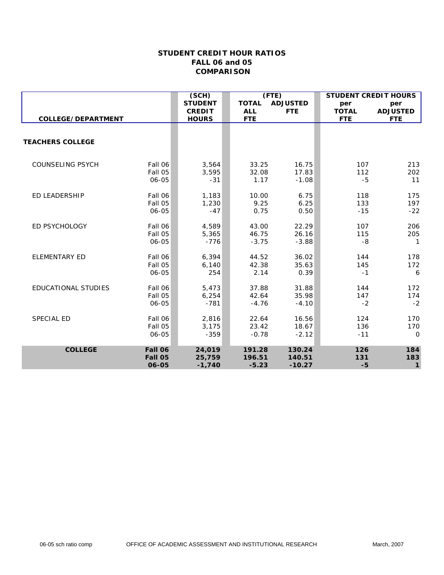|                            |                    | (SCH)          | $($ FTE $)$    |                 | <b>STUDENT CREDIT HOURS</b> |                 |
|----------------------------|--------------------|----------------|----------------|-----------------|-----------------------------|-----------------|
|                            |                    | <b>STUDENT</b> | <b>TOTAL</b>   | <b>ADJUSTED</b> | per                         | per             |
|                            |                    | <b>CREDIT</b>  | <b>ALL</b>     | <b>FTE</b>      | <b>TOTAL</b>                | <b>ADJUSTED</b> |
| COLLEGE/DEPARTMENT         |                    | <b>HOURS</b>   | <b>FTE</b>     |                 | <b>FTE</b>                  | <b>FTE</b>      |
|                            |                    |                |                |                 |                             |                 |
| <b>TEACHERS COLLEGE</b>    |                    |                |                |                 |                             |                 |
| <b>COUNSELING PSYCH</b>    | Fall 06<br>Fall 05 | 3,564<br>3,595 | 33.25<br>32.08 | 16.75<br>17.83  | 107<br>112                  | 213<br>202      |
|                            | 06-05              | $-31$          | 1.17           | $-1.08$         | $-5$                        | 11              |
| <b>ED LEADERSHIP</b>       | Fall 06            | 1,183          | 10.00          | 6.75            | 118                         | 175             |
|                            | Fall 05            | 1,230          | 9.25           | 6.25            | 133                         | 197             |
|                            | 06-05              | $-47$          | 0.75           | 0.50            | $-15$                       | $-22$           |
| ED PSYCHOLOGY              | Fall 06            | 4,589          | 43.00          | 22.29           | 107                         | 206             |
|                            | Fall 05            | 5,365          | 46.75          | 26.16           | 115                         | 205             |
|                            | 06-05              | $-776$         | $-3.75$        | $-3.88$         | $-8$                        | $\mathbf{1}$    |
| <b>ELEMENTARY ED</b>       | Fall 06            | 6,394          | 44.52          | 36.02           | 144                         | 178             |
|                            | Fall 05            | 6,140          | 42.38          | 35.63           | 145                         | 172             |
|                            | 06-05              | 254            | 2.14           | 0.39            | $-1$                        | 6               |
| <b>EDUCATIONAL STUDIES</b> | Fall 06            | 5,473          | 37.88          | 31.88           | 144                         | 172             |
|                            | Fall 05            | 6,254          | 42.64          | 35.98           | 147                         | 174             |
|                            | 06-05              | $-781$         | $-4.76$        | $-4.10$         | $-2$                        | $-2$            |
| SPECIAL ED                 | Fall 06            | 2,816          | 22.64          | 16.56           | 124                         | 170             |
|                            | Fall 05            | 3,175          | 23.42          | 18.67           | 136                         | 170             |
|                            | 06-05              | $-359$         | $-0.78$        | $-2.12$         | $-11$                       | $\mathbf 0$     |
| <b>COLLEGE</b>             | Fall 06            | 24,019         | 191.28         | 130.24          | 126                         | 184             |
|                            | Fall 05            | 25,759         | 196.51         | 140.51          | 131                         | 183             |
|                            | 06-05              | $-1,740$       | $-5.23$        | $-10.27$        | $-5$                        | $\mathbf{1}$    |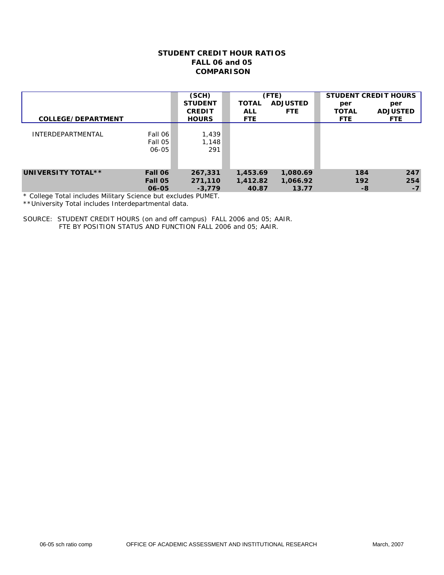| COLLEGE/DEPARTMENT                                                                                                             |                             | (SCH)<br><b>STUDENT</b><br><b>CREDIT</b><br><b>HOURS</b> | <b>TOTAL</b><br><b>ALL</b><br><b>FTE</b> | (FTE)<br><b>ADJUSTED</b><br><b>FTE</b> | <b>STUDENT CREDIT HOURS</b><br>per<br><b>TOTAL</b><br><b>FTE</b> | per<br><b>ADJUSTED</b><br><b>FTE</b> |
|--------------------------------------------------------------------------------------------------------------------------------|-----------------------------|----------------------------------------------------------|------------------------------------------|----------------------------------------|------------------------------------------------------------------|--------------------------------------|
| <b>INTERDEPARTMENTAL</b>                                                                                                       | Fall 06<br>Fall 05<br>06-05 | 1,439<br>1,148<br>291                                    |                                          |                                        |                                                                  |                                      |
| UNIVERSITY TOTAL**<br>$\star$ $\alpha$ -Henry $\pm$ -Left to decide a Military $\alpha$ -term of the control of $\sim$ DUM/ET. | Fall 06<br>Fall 05<br>06-05 | 267,331<br>271,110<br>$-3,779$                           | 1,453.69<br>1,412.82<br>40.87            | 1,080.69<br>1,066.92<br>13.77          | 184<br>192<br>-8                                                 | 247<br>254<br>$-7$                   |

\* College Total includes Military Science but excludes PUMET.

\*\*University Total includes Interdepartmental data.

SOURCE: STUDENT CREDIT HOURS (on and off campus) FALL 2006 and 05; AAIR. FTE BY POSITION STATUS AND FUNCTION FALL 2006 and 05; AAIR.